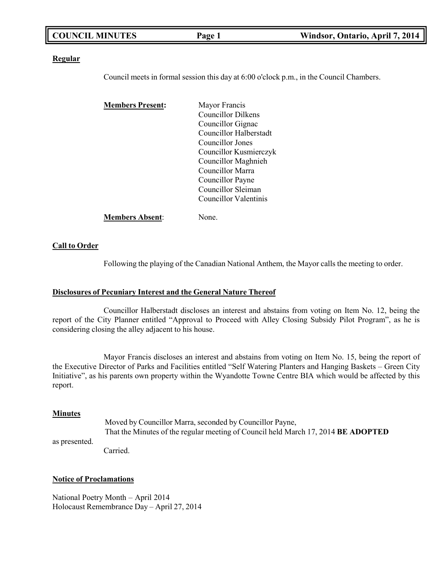| <b>COUNCIL MINUTES</b> | Page 1 | Windsor, Ontario, April 7, 2014 |
|------------------------|--------|---------------------------------|
|                        |        |                                 |

#### **Regular**

Council meets in formal session this day at 6:00 o'clock p.m., in the Council Chambers.

| <b>Members Present:</b> | Mayor Francis          |
|-------------------------|------------------------|
|                         | Councillor Dilkens     |
|                         | Councillor Gignac      |
|                         | Councillor Halberstadt |
|                         | Councillor Jones       |
|                         | Councillor Kusmierczyk |
|                         | Councillor Maghnieh    |
|                         | Councillor Marra       |
|                         | Councillor Payne       |
|                         | Councillor Sleiman     |
|                         | Councillor Valentinis  |
| <b>Members Absent:</b>  | lone.                  |

### **Call to Order**

Following the playing of the Canadian National Anthem, the Mayor calls the meeting to order.

### **Disclosures of Pecuniary Interest and the General Nature Thereof**

Councillor Halberstadt discloses an interest and abstains from voting on Item No. 12, being the report of the City Planner entitled "Approval to Proceed with Alley Closing Subsidy Pilot Program", as he is considering closing the alley adjacent to his house.

Mayor Francis discloses an interest and abstains from voting on Item No. 15, being the report of the Executive Director of Parks and Facilities entitled "Self Watering Planters and Hanging Baskets – Green City Initiative", as his parents own property within the Wyandotte Towne Centre BIA which would be affected by this report.

#### **Minutes**

as presented. Moved by Councillor Marra, seconded by Councillor Payne, That the Minutes of the regular meeting of Council held March 17, 2014 **BE ADOPTED**

Carried.

#### **Notice of Proclamations**

National Poetry Month – April 2014 Holocaust Remembrance Day – April 27, 2014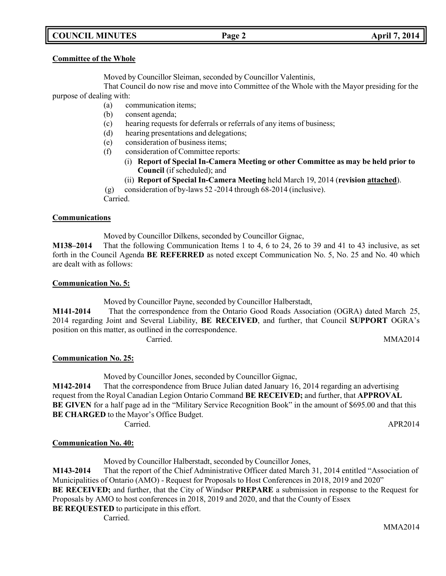# **COUNCIL MINUTES Page 2 April 7, 2014**

### **Committee of the Whole**

Moved by Councillor Sleiman, seconded by Councillor Valentinis,

That Council do now rise and move into Committee of the Whole with the Mayor presiding for the purpose of dealing with:

- (a) communication items;
- (b) consent agenda;
- (c) hearing requests for deferrals or referrals of any items of business;
- (d) hearing presentations and delegations;
- (e) consideration of business items;
- (f) consideration of Committee reports:
	- (i) **Report of Special In-Camera Meeting or other Committee as may be held prior to Council** (if scheduled); and
	- (ii) **Report of Special In-Camera Meeting** held March 19, 2014 (**revision attached**).

(g) consideration of by-laws 52 -2014 through 68-2014 (inclusive).

Carried.

### **Communications**

Moved by Councillor Dilkens, seconded by Councillor Gignac,

**M138–2014** That the following Communication Items 1 to 4, 6 to 24, 26 to 39 and 41 to 43 inclusive, as set forth in the Council Agenda **BE REFERRED** as noted except Communication No. 5, No. 25 and No. 40 which are dealt with as follows:

### **Communication No. 5:**

Moved by Councillor Payne, seconded by Councillor Halberstadt,

**M141-2014** That the correspondence from the Ontario Good Roads Association (OGRA) dated March 25, 2014 regarding Joint and Several Liability, **BE RECEIVED**, and further, that Council **SUPPORT** OGRA's position on this matter, as outlined in the correspondence. Carried. MMA2014

### **Communication No. 25:**

Moved by Councillor Jones, seconded by Councillor Gignac,

**M142-2014** That the correspondence from Bruce Julian dated January 16, 2014 regarding an advertising request from the Royal Canadian Legion Ontario Command **BE RECEIVED;** and further, that **APPROVAL BE GIVEN** for a half page ad in the "Military Service Recognition Book" in the amount of \$695.00 and that this **BE CHARGED** to the Mayor's Office Budget.

Carried. APR2014

# **Communication No. 40:**

Moved by Councillor Halberstadt, seconded by Councillor Jones,

**M143-2014** That the report of the Chief Administrative Officer dated March 31, 2014 entitled "Association of Municipalities of Ontario (AMO) - Request for Proposals to Host Conferences in 2018, 2019 and 2020"

**BE RECEIVED;** and further, that the City of Windsor **PREPARE** a submission in response to the Request for Proposals by AMO to host conferences in 2018, 2019 and 2020, and that the County of Essex

**BE REQUESTED** to participate in this effort.

Carried.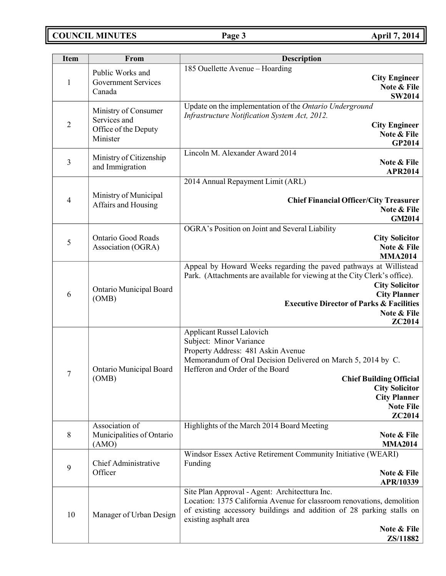# **COUNCIL MINUTES Page 3 April 7, 2014**

| <b>Item</b>    | From                                                                     | <b>Description</b>                                                                                                                                                                                                                                                                                                   |
|----------------|--------------------------------------------------------------------------|----------------------------------------------------------------------------------------------------------------------------------------------------------------------------------------------------------------------------------------------------------------------------------------------------------------------|
| $\mathbf{1}$   | Public Works and<br><b>Government Services</b><br>Canada                 | 185 Ouellette Avenue - Hoarding<br><b>City Engineer</b><br>Note & File<br><b>SW2014</b>                                                                                                                                                                                                                              |
| $\overline{2}$ | Ministry of Consumer<br>Services and<br>Office of the Deputy<br>Minister | Update on the implementation of the Ontario Underground<br>Infrastructure Notification System Act, 2012.<br><b>City Engineer</b><br>Note & File<br><b>GP2014</b>                                                                                                                                                     |
| $\mathfrak{Z}$ | Ministry of Citizenship<br>and Immigration                               | Lincoln M. Alexander Award 2014<br>Note & File<br><b>APR2014</b>                                                                                                                                                                                                                                                     |
| 4              | Ministry of Municipal<br>Affairs and Housing                             | 2014 Annual Repayment Limit (ARL)<br><b>Chief Financial Officer/City Treasurer</b><br>Note & File<br><b>GM2014</b>                                                                                                                                                                                                   |
| 5              | <b>Ontario Good Roads</b><br>Association (OGRA)                          | OGRA's Position on Joint and Several Liability<br><b>City Solicitor</b><br>Note & File<br><b>MMA2014</b>                                                                                                                                                                                                             |
| 6              | Ontario Municipal Board<br>(OMB)                                         | Appeal by Howard Weeks regarding the paved pathways at Willistead<br>Park. (Attachments are available for viewing at the City Clerk's office).<br><b>City Solicitor</b><br><b>City Planner</b><br><b>Executive Director of Parks &amp; Facilities</b><br>Note & File<br>ZC2014                                       |
| $\tau$         | Ontario Municipal Board<br>(OMB)                                         | <b>Applicant Russel Lalovich</b><br>Subject: Minor Variance<br>Property Address: 481 Askin Avenue<br>Memorandum of Oral Decision Delivered on March 5, 2014 by C.<br>Hefferon and Order of the Board<br><b>Chief Building Official</b><br><b>City Solicitor</b><br><b>City Planner</b><br><b>Note File</b><br>ZC2014 |
| 8              | Association of<br>Municipalities of Ontario<br>(AMO)                     | Highlights of the March 2014 Board Meeting<br>Note & File<br><b>MMA2014</b>                                                                                                                                                                                                                                          |
| 9              | Chief Administrative<br>Officer                                          | Windsor Essex Active Retirement Community Initiative (WEARI)<br>Funding<br>Note & File<br>APR/10339                                                                                                                                                                                                                  |
| 10             | Manager of Urban Design                                                  | Site Plan Approval - Agent: Architecttura Inc.<br>Location: 1375 California Avenue for classroom renovations, demolition<br>of existing accessory buildings and addition of 28 parking stalls on<br>existing asphalt area<br>Note & File<br>ZS/11882                                                                 |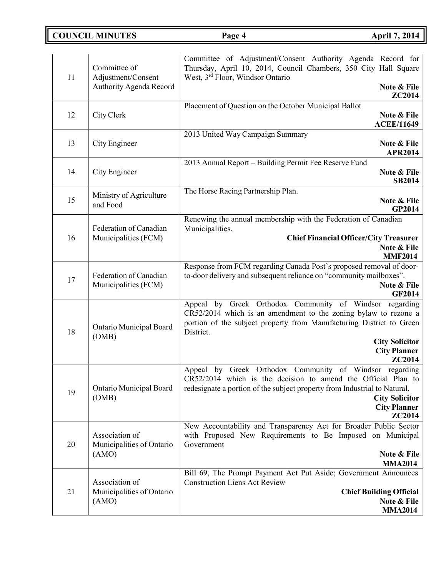**COUNCIL MINUTES Page 4 April 7, 2014**

| 11 | Committee of<br>Adjustment/Consent          | Committee of Adjustment/Consent Authority Agenda Record for<br>Thursday, April 10, 2014, Council Chambers, 350 City Hall Square<br>West, 3rd Floor, Windsor Ontario                                             |
|----|---------------------------------------------|-----------------------------------------------------------------------------------------------------------------------------------------------------------------------------------------------------------------|
|    | Authority Agenda Record                     | Note & File<br><b>ZC2014</b>                                                                                                                                                                                    |
|    |                                             | Placement of Question on the October Municipal Ballot                                                                                                                                                           |
| 12 | City Clerk                                  | Note & File<br><b>ACEE/11649</b>                                                                                                                                                                                |
|    |                                             | 2013 United Way Campaign Summary                                                                                                                                                                                |
| 13 | City Engineer                               | Note & File<br><b>APR2014</b>                                                                                                                                                                                   |
|    |                                             | 2013 Annual Report - Building Permit Fee Reserve Fund                                                                                                                                                           |
| 14 | City Engineer                               | Note & File<br><b>SB2014</b>                                                                                                                                                                                    |
|    | Ministry of Agriculture                     | The Horse Racing Partnership Plan.                                                                                                                                                                              |
| 15 | and Food                                    | Note & File<br>GP2014                                                                                                                                                                                           |
|    | Federation of Canadian                      | Renewing the annual membership with the Federation of Canadian<br>Municipalities.                                                                                                                               |
| 16 | Municipalities (FCM)                        | <b>Chief Financial Officer/City Treasurer</b>                                                                                                                                                                   |
|    |                                             | Note & File<br><b>MMF2014</b>                                                                                                                                                                                   |
|    |                                             | Response from FCM regarding Canada Post's proposed removal of door-                                                                                                                                             |
| 17 | Federation of Canadian                      | to-door delivery and subsequent reliance on "community mailboxes".                                                                                                                                              |
|    | Municipalities (FCM)                        | Note & File<br><b>GF2014</b>                                                                                                                                                                                    |
| 18 | Ontario Municipal Board                     | Appeal by Greek Orthodox Community of Windsor regarding<br>CR52/2014 which is an amendment to the zoning bylaw to rezone a<br>portion of the subject property from Manufacturing District to Green<br>District. |
|    | (OMB)                                       | <b>City Solicitor</b>                                                                                                                                                                                           |
|    |                                             | <b>City Planner</b>                                                                                                                                                                                             |
|    |                                             | <b>ZC2014</b>                                                                                                                                                                                                   |
| 19 | Ontario Municipal Board                     | Appeal by Greek Orthodox Community of Windsor regarding<br>CR52/2014 which is the decision to amend the Official Plan to<br>redesignate a portion of the subject property from Industrial to Natural.           |
|    | (OMB)                                       | <b>City Solicitor</b>                                                                                                                                                                                           |
|    |                                             | <b>City Planner</b>                                                                                                                                                                                             |
|    |                                             | ZC2014<br>New Accountability and Transparency Act for Broader Public Sector                                                                                                                                     |
| 20 | Association of<br>Municipalities of Ontario | with Proposed New Requirements to Be Imposed on Municipal<br>Government                                                                                                                                         |
|    | (AMO)                                       | Note & File                                                                                                                                                                                                     |
|    |                                             | <b>MMA2014</b>                                                                                                                                                                                                  |
|    | Association of                              | Bill 69, The Prompt Payment Act Put Aside; Government Announces<br><b>Construction Liens Act Review</b>                                                                                                         |
| 21 | Municipalities of Ontario                   | <b>Chief Building Official</b>                                                                                                                                                                                  |
|    | (AMO)                                       | Note & File                                                                                                                                                                                                     |
|    |                                             | <b>MMA2014</b>                                                                                                                                                                                                  |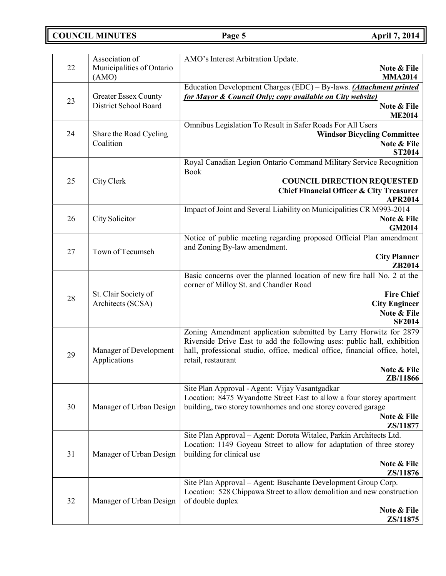**COUNCIL MINUTES Page 5 April 7, 2014**

|    | Association of                            | AMO's Interest Arbitration Update.                                                                                                         |
|----|-------------------------------------------|--------------------------------------------------------------------------------------------------------------------------------------------|
| 22 | Municipalities of Ontario<br>(AMO)        | Note & File<br><b>MMA2014</b>                                                                                                              |
|    |                                           | Education Development Charges (EDC) - By-laws. (Attachment printed                                                                         |
|    | <b>Greater Essex County</b>               | for Mayor & Council Only; copy available on City website)                                                                                  |
| 23 | District School Board                     | Note & File                                                                                                                                |
|    |                                           | <b>ME2014</b>                                                                                                                              |
| 24 | Share the Road Cycling                    | Omnibus Legislation To Result in Safer Roads For All Users                                                                                 |
|    | Coalition                                 | <b>Windsor Bicycling Committee</b><br>Note & File                                                                                          |
|    |                                           | <b>ST2014</b>                                                                                                                              |
|    |                                           | Royal Canadian Legion Ontario Command Military Service Recognition                                                                         |
|    |                                           | <b>Book</b>                                                                                                                                |
| 25 | City Clerk                                | <b>COUNCIL DIRECTION REQUESTED</b>                                                                                                         |
|    |                                           | <b>Chief Financial Officer &amp; City Treasurer</b><br>APR2014                                                                             |
|    |                                           | Impact of Joint and Several Liability on Municipalities CR M993-2014                                                                       |
| 26 | City Solicitor                            | Note & File                                                                                                                                |
|    |                                           | <b>GM2014</b>                                                                                                                              |
|    |                                           | Notice of public meeting regarding proposed Official Plan amendment                                                                        |
| 27 | Town of Tecumseh                          | and Zoning By-law amendment.                                                                                                               |
|    |                                           | <b>City Planner</b><br>ZB2014                                                                                                              |
|    |                                           | Basic concerns over the planned location of new fire hall No. 2 at the                                                                     |
|    |                                           | corner of Milloy St. and Chandler Road                                                                                                     |
| 28 | St. Clair Society of<br>Architects (SCSA) | <b>Fire Chief</b>                                                                                                                          |
|    |                                           | <b>City Engineer</b>                                                                                                                       |
|    |                                           | Note & File<br><b>SF2014</b>                                                                                                               |
|    |                                           | Zoning Amendment application submitted by Larry Horwitz for 2879                                                                           |
|    | Manager of Development<br>Applications    | Riverside Drive East to add the following uses: public hall, exhibition                                                                    |
| 29 |                                           | hall, professional studio, office, medical office, financial office, hotel,                                                                |
|    |                                           | retail, restaurant                                                                                                                         |
|    |                                           | Note & File                                                                                                                                |
|    |                                           | <b>ZB/11866</b><br>Site Plan Approval - Agent: Vijay Vasantgadkar                                                                          |
|    |                                           | Location: 8475 Wyandotte Street East to allow a four storey apartment                                                                      |
| 30 | Manager of Urban Design                   | building, two storey townhomes and one storey covered garage                                                                               |
|    |                                           | Note & File                                                                                                                                |
|    |                                           | ZS/11877                                                                                                                                   |
|    |                                           | Site Plan Approval - Agent: Dorota Witalec, Parkin Architects Ltd.<br>Location: 1149 Goyeau Street to allow for adaptation of three storey |
| 31 | Manager of Urban Design                   | building for clinical use                                                                                                                  |
|    |                                           | Note & File                                                                                                                                |
|    |                                           | ZS/11876                                                                                                                                   |
| 32 |                                           | Site Plan Approval – Agent: Buschante Development Group Corp.                                                                              |
|    | Manager of Urban Design                   | Location: 528 Chippawa Street to allow demolition and new construction                                                                     |
|    |                                           | of double duplex<br>Note & File                                                                                                            |
|    |                                           | ZS/11875                                                                                                                                   |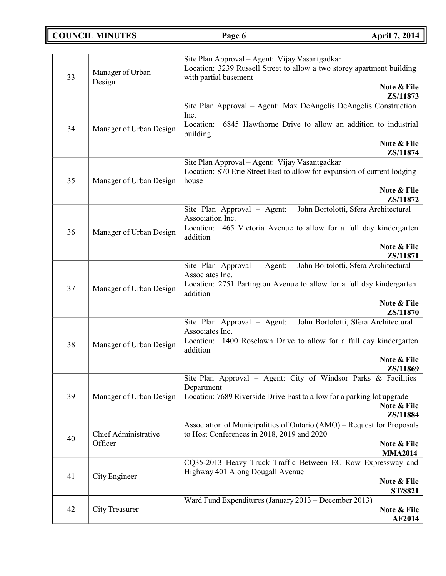**COUNCIL MINUTES Page 6 April 7, 2014**

|    |                         | Site Plan Approval - Agent: Vijay Vasantgadkar                                                  |
|----|-------------------------|-------------------------------------------------------------------------------------------------|
| 33 | Manager of Urban        | Location: 3239 Russell Street to allow a two storey apartment building<br>with partial basement |
|    | Design                  | Note & File                                                                                     |
|    |                         | ZS/11873                                                                                        |
|    |                         | Site Plan Approval - Agent: Max DeAngelis DeAngelis Construction<br>Inc.                        |
|    |                         | Location:<br>6845 Hawthorne Drive to allow an addition to industrial                            |
| 34 | Manager of Urban Design | building                                                                                        |
|    |                         | Note & File                                                                                     |
|    |                         | ZS/11874<br>Site Plan Approval - Agent: Vijay Vasantgadkar                                      |
|    |                         | Location: 870 Erie Street East to allow for expansion of current lodging                        |
| 35 | Manager of Urban Design | house                                                                                           |
|    |                         | Note & File                                                                                     |
|    |                         | ZS/11872<br>John Bortolotti, Sfera Architectural<br>Site Plan Approval - Agent:                 |
|    |                         | Association Inc.                                                                                |
| 36 | Manager of Urban Design | Location: 465 Victoria Avenue to allow for a full day kindergarten                              |
|    |                         | addition                                                                                        |
|    |                         | Note & File<br>ZS/11871                                                                         |
|    |                         | John Bortolotti, Sfera Architectural<br>Site Plan Approval – Agent:                             |
|    |                         | Associates Inc.                                                                                 |
| 37 | Manager of Urban Design | Location: 2751 Partington Avenue to allow for a full day kindergarten<br>addition               |
|    |                         | Note & File                                                                                     |
|    |                         | ZS/11870                                                                                        |
|    |                         | John Bortolotti, Sfera Architectural<br>Site Plan Approval – Agent:                             |
|    |                         | Associates Inc.<br>Location: 1400 Roselawn Drive to allow for a full day kindergarten           |
| 38 | Manager of Urban Design | addition                                                                                        |
|    |                         | Note & File                                                                                     |
|    |                         | ZS/11869<br>Site Plan Approval - Agent: City of Windsor Parks & Facilities                      |
|    | Manager of Urban Design | Department                                                                                      |
| 39 |                         | Location: 7689 Riverside Drive East to allow for a parking lot upgrade                          |
|    |                         | Note & File                                                                                     |
|    |                         | ZS/11884<br>Association of Municipalities of Ontario (AMO) – Request for Proposals              |
| 40 | Chief Administrative    | to Host Conferences in 2018, 2019 and 2020                                                      |
|    | Officer                 | Note & File                                                                                     |
|    |                         | <b>MMA2014</b><br>CQ35-2013 Heavy Truck Traffic Between EC Row Expressway and                   |
|    |                         | Highway 401 Along Dougall Avenue                                                                |
| 41 | City Engineer           | Note & File                                                                                     |
|    |                         | ST/8821                                                                                         |
| 42 | City Treasurer          | Ward Fund Expenditures (January 2013 – December 2013)<br>Note & File                            |
|    |                         | <b>AF2014</b>                                                                                   |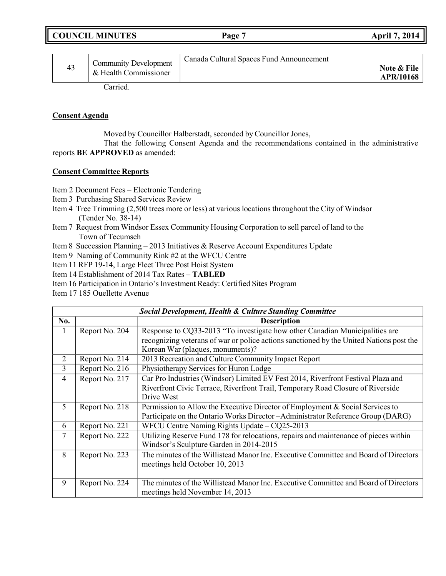| <b>COUNCIL MINUTES</b> | Page <sup>1</sup> | <b>April 7, 2014</b> |
|------------------------|-------------------|----------------------|
|                        |                   |                      |

| 43 | <b>Community Development</b><br>& Health Commissioner | Canada Cultural Spaces Fund Announcement | Note & File<br><b>APR/10168</b> |
|----|-------------------------------------------------------|------------------------------------------|---------------------------------|
|    |                                                       |                                          |                                 |

Carried.

### **Consent Agenda**

Moved by Councillor Halberstadt, seconded by Councillor Jones,

That the following Consent Agenda and the recommendations contained in the administrative reports **BE APPROVED** as amended:

### **Consent Committee Reports**

- Item 2 Document Fees Electronic Tendering
- Item 3 Purchasing Shared Services Review
- Item 4 Tree Trimming (2,500 trees more or less) at various locations throughout the City of Windsor (Tender No. 38-14)
- Item 7 Request from Windsor Essex Community Housing Corporation to sell parcel of land to the Town of Tecumseh
- Item 8 Succession Planning 2013 Initiatives & Reserve Account Expenditures Update
- Item 9 Naming of Community Rink #2 at the WFCU Centre
- Item 11 RFP 19-14, Large Fleet Three Post Hoist System
- Item 14 Establishment of 2014 Tax Rates **TABLED**
- Item 16 Participation in Ontario's Investment Ready: Certified Sites Program
- Item 17 185 Ouellette Avenue

|          | <b>Social Development, Health &amp; Culture Standing Committee</b> |                                                                                         |  |
|----------|--------------------------------------------------------------------|-----------------------------------------------------------------------------------------|--|
| No.      |                                                                    | <b>Description</b>                                                                      |  |
| $\bf{l}$ | Report No. 204                                                     | Response to CQ33-2013 "To investigate how other Canadian Municipalities are             |  |
|          |                                                                    | recognizing veterans of war or police actions sanctioned by the United Nations post the |  |
|          |                                                                    | Korean War (plaques, monuments)?                                                        |  |
| 2        | Report No. 214                                                     | 2013 Recreation and Culture Community Impact Report                                     |  |
| 3        | Report No. 216                                                     | Physiotherapy Services for Huron Lodge                                                  |  |
| 4        | Report No. 217                                                     | Car Pro Industries (Windsor) Limited EV Fest 2014, Riverfront Festival Plaza and        |  |
|          |                                                                    | Riverfront Civic Terrace, Riverfront Trail, Temporary Road Closure of Riverside         |  |
|          |                                                                    | Drive West                                                                              |  |
| 5        | Report No. 218                                                     | Permission to Allow the Executive Director of Employment & Social Services to           |  |
|          |                                                                    | Participate on the Ontario Works Director-Administrator Reference Group (DARG)          |  |
| 6        | Report No. 221                                                     | WFCU Centre Naming Rights Update $-\overline{CQ25-2013}$                                |  |
| 7        | Report No. 222                                                     | Utilizing Reserve Fund 178 for relocations, repairs and maintenance of pieces within    |  |
|          |                                                                    | Windsor's Sculpture Garden in 2014-2015                                                 |  |
| 8        | Report No. 223                                                     | The minutes of the Willistead Manor Inc. Executive Committee and Board of Directors     |  |
|          |                                                                    | meetings held October 10, 2013                                                          |  |
|          |                                                                    |                                                                                         |  |
| 9        | Report No. 224                                                     | The minutes of the Willistead Manor Inc. Executive Committee and Board of Directors     |  |
|          |                                                                    | meetings held November 14, 2013                                                         |  |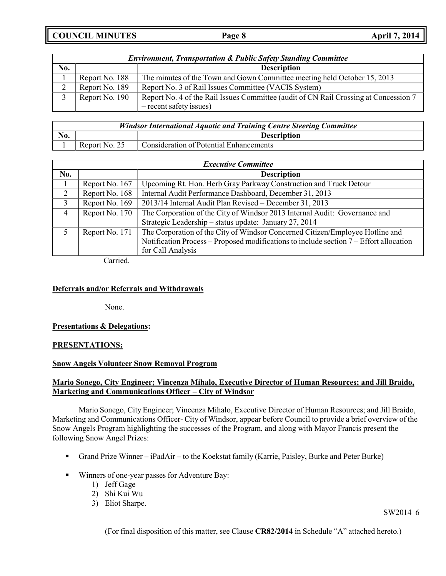**COUNCIL MINUTES Page 8 April 7, 2014**

| <b>Environment, Transportation &amp; Public Safety Standing Committee</b> |                |                                                                                      |
|---------------------------------------------------------------------------|----------------|--------------------------------------------------------------------------------------|
| No.                                                                       |                | <b>Description</b>                                                                   |
|                                                                           | Report No. 188 | The minutes of the Town and Gown Committee meeting held October 15, 2013             |
| $\gamma$                                                                  | Report No. 189 | Report No. 3 of Rail Issues Committee (VACIS System)                                 |
|                                                                           | Report No. 190 | Report No. 4 of the Rail Issues Committee (audit of CN Rail Crossing at Concession 7 |
|                                                                           |                | - recent safety issues)                                                              |

| <b>Windsor International Aquatic and Training Centre Steering Committee</b> |               |                                         |
|-----------------------------------------------------------------------------|---------------|-----------------------------------------|
| No.                                                                         |               | <b>Description</b>                      |
|                                                                             | Report No. 25 | Consideration of Potential Enhancements |

| <b>Executive Committee</b> |                |                                                                                        |  |
|----------------------------|----------------|----------------------------------------------------------------------------------------|--|
| No.                        |                | <b>Description</b>                                                                     |  |
|                            | Report No. 167 | Upcoming Rt. Hon. Herb Gray Parkway Construction and Truck Detour                      |  |
| 2                          | Report No. 168 | Internal Audit Performance Dashboard, December 31, 2013                                |  |
| 3                          | Report No. 169 | 2013/14 Internal Audit Plan Revised - December 31, 2013                                |  |
| $\overline{4}$             | Report No. 170 | The Corporation of the City of Windsor 2013 Internal Audit: Governance and             |  |
|                            |                | Strategic Leadership - status update: January 27, 2014                                 |  |
|                            | Report No. 171 | The Corporation of the City of Windsor Concerned Citizen/Employee Hotline and          |  |
|                            |                | Notification Process – Proposed modifications to include section 7 – Effort allocation |  |
|                            |                | for Call Analysis                                                                      |  |

Carried.

### **Deferrals and/or Referrals and Withdrawals**

None.

### **Presentations & Delegations:**

#### **PRESENTATIONS:**

#### **Snow Angels Volunteer Snow Removal Program**

### **Mario Sonego, City Engineer; Vincenza Mihalo, Executive Director of Human Resources; and Jill Braido, Marketing and Communications Officer – City of Windsor**

Mario Sonego, City Engineer; Vincenza Mihalo, Executive Director of Human Resources; and Jill Braido, Marketing and Communications Officer- City of Windsor, appear before Council to provide a brief overview of the Snow Angels Program highlighting the successes of the Program, and along with Mayor Francis present the following Snow Angel Prizes:

- Grand Prize Winner iPadAir to the Koekstat family (Karrie, Paisley, Burke and Peter Burke)
- Winners of one-year passes for Adventure Bay:
	- 1) Jeff Gage
	- 2) Shi Kui Wu
	- 3) Eliot Sharpe.

SW2014 6

(For final disposition of this matter, see Clause **CR82/2014** in Schedule "A" attached hereto.)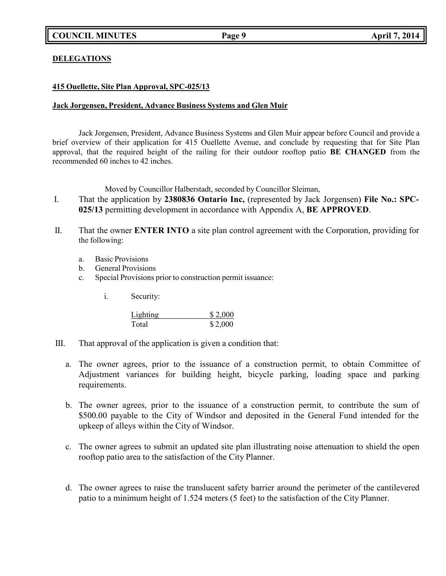### **DELEGATIONS**

### **415 Ouellette, Site Plan Approval, SPC-025/13**

### **Jack Jorgensen, President, Advance Business Systems and Glen Muir**

Jack Jorgensen, President, Advance Business Systems and Glen Muir appear before Council and provide a brief overview of their application for 415 Ouellette Avenue, and conclude by requesting that for Site Plan approval, that the required height of the railing for their outdoor rooftop patio **BE CHANGED** from the recommended 60 inches to 42 inches.

Moved by Councillor Halberstadt, seconded by Councillor Sleiman,

- I. That the application by **2380836 Ontario Inc,** (represented by Jack Jorgensen) **File No.: SPC-025/13** permitting development in accordance with Appendix A, **BE APPROVED**.
- II. That the owner **ENTER INTO** a site plan control agreement with the Corporation, providing for the following:
	- a. Basic Provisions
	- b. General Provisions
	- c. Special Provisions prior to construction permit issuance:
		- i. Security:

| Lighting | \$2,000 |
|----------|---------|
| Total    | \$2,000 |

- III. That approval of the application is given a condition that:
	- a. The owner agrees, prior to the issuance of a construction permit, to obtain Committee of Adjustment variances for building height, bicycle parking, loading space and parking requirements.
	- b. The owner agrees, prior to the issuance of a construction permit, to contribute the sum of \$500.00 payable to the City of Windsor and deposited in the General Fund intended for the upkeep of alleys within the City of Windsor.
	- c. The owner agrees to submit an updated site plan illustrating noise attenuation to shield the open rooftop patio area to the satisfaction of the City Planner.
	- d. The owner agrees to raise the translucent safety barrier around the perimeter of the cantilevered patio to a minimum height of 1.524 meters (5 feet) to the satisfaction of the City Planner.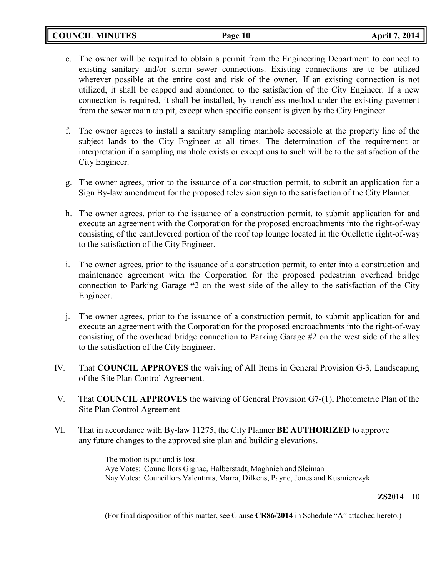- e. The owner will be required to obtain a permit from the Engineering Department to connect to existing sanitary and/or storm sewer connections. Existing connections are to be utilized wherever possible at the entire cost and risk of the owner. If an existing connection is not utilized, it shall be capped and abandoned to the satisfaction of the City Engineer. If a new connection is required, it shall be installed, by trenchless method under the existing pavement from the sewer main tap pit, except when specific consent is given by the City Engineer.
- f. The owner agrees to install a sanitary sampling manhole accessible at the property line of the subject lands to the City Engineer at all times. The determination of the requirement or interpretation if a sampling manhole exists or exceptions to such will be to the satisfaction of the City Engineer.
- g. The owner agrees, prior to the issuance of a construction permit, to submit an application for a Sign By-law amendment for the proposed television sign to the satisfaction of the City Planner.
- h. The owner agrees, prior to the issuance of a construction permit, to submit application for and execute an agreement with the Corporation for the proposed encroachments into the right-of-way consisting of the cantilevered portion of the roof top lounge located in the Ouellette right-of-way to the satisfaction of the City Engineer.
- i. The owner agrees, prior to the issuance of a construction permit, to enter into a construction and maintenance agreement with the Corporation for the proposed pedestrian overhead bridge connection to Parking Garage  $#2$  on the west side of the alley to the satisfaction of the City Engineer.
- j. The owner agrees, prior to the issuance of a construction permit, to submit application for and execute an agreement with the Corporation for the proposed encroachments into the right-of-way consisting of the overhead bridge connection to Parking Garage #2 on the west side of the alley to the satisfaction of the City Engineer.
- IV. That **COUNCIL APPROVES** the waiving of All Items in General Provision G-3, Landscaping of the Site Plan Control Agreement.
- V. That **COUNCIL APPROVES** the waiving of General Provision G7-(1), Photometric Plan of the Site Plan Control Agreement
- VI. That in accordance with By-law 11275, the City Planner **BE AUTHORIZED** to approve any future changes to the approved site plan and building elevations.

The motion is put and is <u>lost</u>. Aye Votes: Councillors Gignac, Halberstadt, Maghnieh and Sleiman Nay Votes: Councillors Valentinis, Marra, Dilkens, Payne, Jones and Kusmierczyk

#### **ZS2014** 10

(For final disposition of this matter, see Clause **CR86/2014** in Schedule "A" attached hereto.)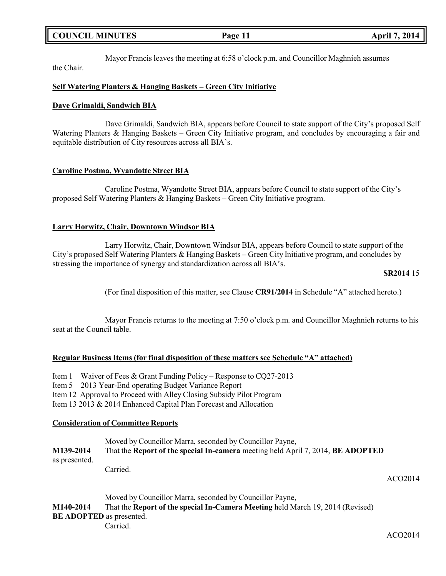# **COUNCIL MINUTES Page 11 April 7, 2014**

Mayor Francis leaves the meeting at 6:58 o'clock p.m. and Councillor Maghnieh assumes

the Chair.

## **Self Watering Planters & Hanging Baskets – Green City Initiative**

### **Dave Grimaldi, Sandwich BIA**

Dave Grimaldi, Sandwich BIA, appears before Council to state support of the City's proposed Self Watering Planters & Hanging Baskets – Green City Initiative program, and concludes by encouraging a fair and equitable distribution of City resources across all BIA's.

### **Caroline Postma, Wyandotte Street BIA**

Caroline Postma, Wyandotte Street BIA, appears before Council to state support of the City's proposed Self Watering Planters & Hanging Baskets – Green City Initiative program.

## **Larry Horwitz, Chair, Downtown Windsor BIA**

Larry Horwitz, Chair, Downtown Windsor BIA, appears before Council to state support of the City's proposed Self Watering Planters & Hanging Baskets – Green City Initiative program, and concludes by stressing the importance of synergy and standardization across all BIA's.

#### **SR2014** 15

(For final disposition of this matter, see Clause **CR91/2014** in Schedule "A" attached hereto.)

Mayor Francis returns to the meeting at 7:50 o'clock p.m. and Councillor Maghnieh returns to his seat at the Council table.

### **Regular Business Items (for final disposition of these matters see Schedule "A" attached)**

Item 1 Waiver of Fees & Grant Funding Policy – Response to CQ27-2013 Item 5 2013 Year-End operating Budget Variance Report Item 12 Approval to Proceed with Alley Closing Subsidy Pilot Program Item 13 2013 & 2014 Enhanced Capital Plan Forecast and Allocation

### **Consideration of Committee Reports**

| M139-2014           | Moved by Councillor Marra, seconded by Councillor Payne,<br>That the Report of the special In-camera meeting held April 7, 2014, BE ADOPTED                                                                                                                                                                                                                 |         |
|---------------------|-------------------------------------------------------------------------------------------------------------------------------------------------------------------------------------------------------------------------------------------------------------------------------------------------------------------------------------------------------------|---------|
| as presented.       | Carried.                                                                                                                                                                                                                                                                                                                                                    | ACO2014 |
| <b>BE4 10 804 1</b> | Moved by Councillor Marra, seconded by Councillor Payne,<br>$\mathbf{m}$ at $\mathbf{m}$ and $\mathbf{m}$ are $\mathbf{m}$ and $\mathbf{m}$ and $\mathbf{m}$ and $\mathbf{m}$ and $\mathbf{m}$ and $\mathbf{m}$ and $\mathbf{m}$ and $\mathbf{m}$ and $\mathbf{m}$ and $\mathbf{m}$ and $\mathbf{m}$ and $\mathbf{m}$ and $\mathbf{m}$ and $\mathbf{m}$ and |         |

**M140-2014** That the **Report of the special In-Camera Meeting** held March 19, 2014 (Revised) **BE ADOPTED** as presented. Carried.

ACO2014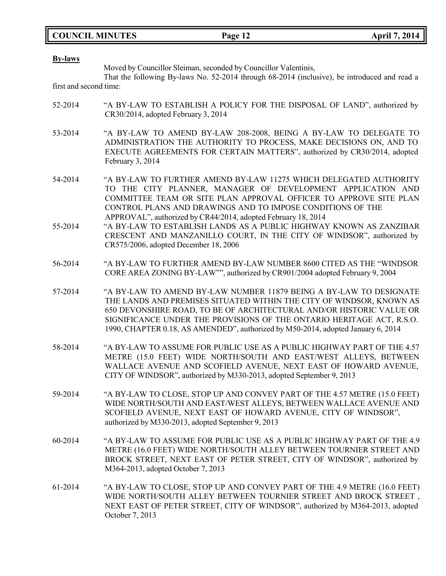|  | <b>COUNCIL MINUTES</b> |
|--|------------------------|
|--|------------------------|

| <b>By-laws</b>         |                                                                                                                                                                                                                                                                                                                                                                                 |
|------------------------|---------------------------------------------------------------------------------------------------------------------------------------------------------------------------------------------------------------------------------------------------------------------------------------------------------------------------------------------------------------------------------|
|                        | Moved by Councillor Sleiman, seconded by Councillor Valentinis,<br>That the following By-laws No. 52-2014 through 68-2014 (inclusive), be introduced and read a                                                                                                                                                                                                                 |
| first and second time: |                                                                                                                                                                                                                                                                                                                                                                                 |
| 52-2014                | "A BY-LAW TO ESTABLISH A POLICY FOR THE DISPOSAL OF LAND", authorized by<br>CR30/2014, adopted February 3, 2014                                                                                                                                                                                                                                                                 |
| 53-2014                | "A BY-LAW TO AMEND BY-LAW 208-2008, BEING A BY-LAW TO DELEGATE TO<br>ADMINISTRATION THE AUTHORITY TO PROCESS, MAKE DECISIONS ON, AND TO<br>EXECUTE AGREEMENTS FOR CERTAIN MATTERS", authorized by CR30/2014, adopted<br>February 3, 2014                                                                                                                                        |
| 54-2014                | "A BY-LAW TO FURTHER AMEND BY-LAW 11275 WHICH DELEGATED AUTHORITY<br>TO THE CITY PLANNER, MANAGER OF DEVELOPMENT APPLICATION AND<br>COMMITTEE TEAM OR SITE PLAN APPROVAL OFFICER TO APPROVE SITE PLAN<br>CONTROL PLANS AND DRAWINGS AND TO IMPOSE CONDITIONS OF THE<br>APPROVAL", authorized by CR44/2014, adopted February 18, 2014                                            |
| 55-2014                | "A BY-LAW TO ESTABLISH LANDS AS A PUBLIC HIGHWAY KNOWN AS ZANZIBAR<br>CRESCENT AND MANZANILLO COURT, IN THE CITY OF WINDSOR", authorized by<br>CR575/2006, adopted December 18, 2006                                                                                                                                                                                            |
| 56-2014                | "A BY-LAW TO FURTHER AMEND BY-LAW NUMBER 8600 CITED AS THE "WINDSOR<br>CORE AREA ZONING BY-LAW"", authorized by CR901/2004 adopted February 9, 2004                                                                                                                                                                                                                             |
| 57-2014                | "A BY-LAW TO AMEND BY-LAW NUMBER 11879 BEING A BY-LAW TO DESIGNATE<br>THE LANDS AND PREMISES SITUATED WITHIN THE CITY OF WINDSOR, KNOWN AS<br>650 DEVONSHIRE ROAD, TO BE OF ARCHITECTURAL AND/OR HISTORIC VALUE OR<br>SIGNIFICANCE UNDER THE PROVISIONS OF THE ONTARIO HERITAGE ACT, R.S.O.<br>1990, CHAPTER 0.18, AS AMENDED", authorized by M50-2014, adopted January 6, 2014 |
| 58-2014                | "A BY-LAW TO ASSUME FOR PUBLIC USE AS A PUBLIC HIGHWAY PART OF THE 4.57<br>METRE (15.0 FEET) WIDE NORTH/SOUTH AND EAST/WEST ALLEYS, BETWEEN<br>WALLACE AVENUE AND SCOFIELD AVENUE, NEXT EAST OF HOWARD AVENUE,<br>CITY OF WINDSOR", authorized by M330-2013, adopted September 9, 2013                                                                                          |
| 59-2014                | "A BY-LAW TO CLOSE, STOP UP AND CONVEY PART OF THE 4.57 METRE (15.0 FEET)<br>WIDE NORTH/SOUTH AND EAST/WEST ALLEYS, BETWEEN WALLACE AVENUE AND<br>SCOFIELD AVENUE, NEXT EAST OF HOWARD AVENUE, CITY OF WINDSOR",<br>authorized by M330-2013, adopted September 9, 2013                                                                                                          |
| 60-2014                | "A BY-LAW TO ASSUME FOR PUBLIC USE AS A PUBLIC HIGHWAY PART OF THE 4.9<br>METRE (16.0 FEET) WIDE NORTH/SOUTH ALLEY BETWEEN TOURNIER STREET AND<br>BROCK STREET, NEXT EAST OF PETER STREET, CITY OF WINDSOR", authorized by<br>M364-2013, adopted October 7, 2013                                                                                                                |
| 61-2014                | "A BY-LAW TO CLOSE, STOP UP AND CONVEY PART OF THE 4.9 METRE (16.0 FEET)<br>WIDE NORTH/SOUTH ALLEY BETWEEN TOURNIER STREET AND BROCK STREET,<br>NEXT EAST OF PETER STREET, CITY OF WINDSOR", authorized by M364-2013, adopted<br>October 7, 2013                                                                                                                                |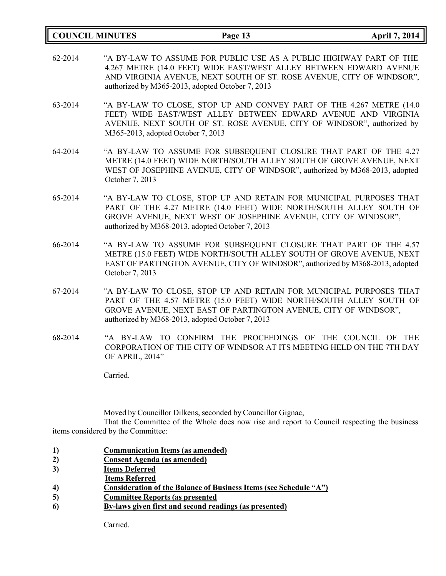|         | <b>COUNCIL MINUTES</b>             | Page 13                                                                                                                                                                                                                                                               | <b>April 7, 2014</b> |
|---------|------------------------------------|-----------------------------------------------------------------------------------------------------------------------------------------------------------------------------------------------------------------------------------------------------------------------|----------------------|
| 62-2014 |                                    | "A BY-LAW TO ASSUME FOR PUBLIC USE AS A PUBLIC HIGHWAY PART OF THE<br>4.267 METRE (14.0 FEET) WIDE EAST/WEST ALLEY BETWEEN EDWARD AVENUE<br>AND VIRGINIA AVENUE, NEXT SOUTH OF ST. ROSE AVENUE, CITY OF WINDSOR",<br>authorized by M365-2013, adopted October 7, 2013 |                      |
| 63-2014 | M365-2013, adopted October 7, 2013 | "A BY-LAW TO CLOSE, STOP UP AND CONVEY PART OF THE 4.267 METRE (14.0)<br>FEET) WIDE EAST/WEST ALLEY BETWEEN EDWARD AVENUE AND VIRGINIA<br>AVENUE, NEXT SOUTH OF ST. ROSE AVENUE, CITY OF WINDSOR", authorized by                                                      |                      |
| 64-2014 | October 7, 2013                    | "A BY-LAW TO ASSUME FOR SUBSEQUENT CLOSURE THAT PART OF THE 4.27<br>METRE (14.0 FEET) WIDE NORTH/SOUTH ALLEY SOUTH OF GROVE AVENUE, NEXT<br>WEST OF JOSEPHINE AVENUE, CITY OF WINDSOR", authorized by M368-2013, adopted                                              |                      |
| 65-2014 |                                    | "A BY-LAW TO CLOSE, STOP UP AND RETAIN FOR MUNICIPAL PURPOSES THAT<br>PART OF THE 4.27 METRE (14.0 FEET) WIDE NORTH/SOUTH ALLEY SOUTH OF<br>GROVE AVENUE, NEXT WEST OF JOSEPHINE AVENUE, CITY OF WINDSOR",<br>authorized by M368-2013, adopted October 7, 2013        |                      |
| 66-2014 | October 7, 2013                    | "A BY-LAW TO ASSUME FOR SUBSEQUENT CLOSURE THAT PART OF THE 4.57<br>METRE (15.0 FEET) WIDE NORTH/SOUTH ALLEY SOUTH OF GROVE AVENUE, NEXT<br>EAST OF PARTINGTON AVENUE, CITY OF WINDSOR", authorized by M368-2013, adopted                                             |                      |
| 67-2014 |                                    | "A BY-LAW TO CLOSE, STOP UP AND RETAIN FOR MUNICIPAL PURPOSES THAT<br>PART OF THE 4.57 METRE (15.0 FEET) WIDE NORTH/SOUTH ALLEY SOUTH OF<br>GROVE AVENUE, NEXT EAST OF PARTINGTON AVENUE, CITY OF WINDSOR",<br>authorized by M368-2013, adopted October 7, 2013       |                      |
| 68-2014 | OF APRIL, 2014"                    | "A BY-LAW TO CONFIRM THE PROCEEDINGS OF THE COUNCIL OF THE<br>CORPORATION OF THE CITY OF WINDSOR AT ITS MEETING HELD ON THE 7TH DAY                                                                                                                                   |                      |
|         | Carried.                           |                                                                                                                                                                                                                                                                       |                      |
|         |                                    |                                                                                                                                                                                                                                                                       |                      |

Moved by Councillor Dilkens, seconded by Councillor Gignac,

That the Committee of the Whole does now rise and report to Council respecting the business items considered by the Committee:

- **1) Communication Items (as amended)**
- **2) Consent Agenda (as amended)**
- **3) Items Deferred**
- **Items Referred**
- **4) Consideration of the Balance of Business Items (see Schedule "A")**
- **5) Committee Reports (as presented**
- **6) By-laws given first and second readings (as presented)**

Carried.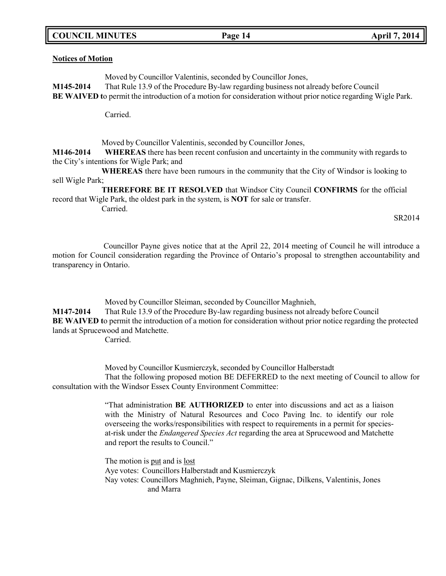### **COUNCIL MINUTES Page 14 April 7, 2014**

#### **Notices of Motion**

Moved by Councillor Valentinis, seconded by Councillor Jones,

**M145-2014** That Rule 13.9 of the Procedure By-law regarding business not already before Council **BE WAIVED t**o permit the introduction of a motion for consideration without prior notice regarding Wigle Park.

Carried.

Moved by Councillor Valentinis, seconded by Councillor Jones,

**M146-2014 WHEREAS** there has been recent confusion and uncertainty in the community with regards to the City's intentions for Wigle Park; and

**WHEREAS** there have been rumours in the community that the City of Windsor is looking to sell Wigle Park;

**THEREFORE BE IT RESOLVED** that Windsor City Council **CONFIRMS** for the official record that Wigle Park, the oldest park in the system, is **NOT** for sale or transfer.

Carried.

SR2014

Councillor Payne gives notice that at the April 22, 2014 meeting of Council he will introduce a motion for Council consideration regarding the Province of Ontario's proposal to strengthen accountability and transparency in Ontario.

Moved by Councillor Sleiman, seconded by Councillor Maghnieh,

**M147-2014** That Rule 13.9 of the Procedure By-law regarding business not already before Council **BE** WAIVED to permit the introduction of a motion for consideration without prior notice regarding the protected lands at Sprucewood and Matchette.

Carried.

Moved by Councillor Kusmierczyk, seconded by Councillor Halberstadt That the following proposed motion BE DEFERRED to the next meeting of Council to allow for consultation with the Windsor Essex County Environment Committee:

> "That administration **BE AUTHORIZED** to enter into discussions and act as a liaison with the Ministry of Natural Resources and Coco Paving Inc. to identify our role overseeing the works/responsibilities with respect to requirements in a permit for speciesat-risk under the *Endangered Species Act* regarding the area at Sprucewood and Matchette and report the results to Council."

The motion is put and is lost Aye votes: Councillors Halberstadt and Kusmierczyk Nay votes: Councillors Maghnieh, Payne, Sleiman, Gignac, Dilkens, Valentinis, Jones and Marra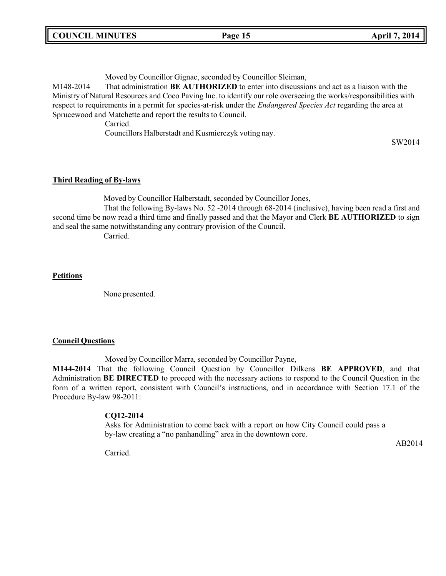Moved by Councillor Gignac, seconded by Councillor Sleiman,

M148-2014 That administration **BE AUTHORIZED** to enter into discussions and act as a liaison with the Ministry of Natural Resources and Coco Paving Inc. to identify our role overseeing the works/responsibilities with respect to requirements in a permit for species-at-risk under the *Endangered Species Act* regarding the area at Sprucewood and Matchette and report the results to Council.

Carried.

Councillors Halberstadt and Kusmierczyk voting nay.

SW2014

## **Third Reading of By-laws**

Moved by Councillor Halberstadt, seconded by Councillor Jones,

That the following By-laws No. 52 -2014 through 68-2014 (inclusive), having been read a first and second time be now read a third time and finally passed and that the Mayor and Clerk **BE AUTHORIZED** to sign and seal the same notwithstanding any contrary provision of the Council.

Carried.

## **Petitions**

None presented.

### **Council Questions**

Moved by Councillor Marra, seconded by Councillor Payne,

**M144-2014** That the following Council Question by Councillor Dilkens **BE APPROVED**, and that Administration **BE DIRECTED** to proceed with the necessary actions to respond to the Council Question in the form of a written report, consistent with Council's instructions, and in accordance with Section 17.1 of the Procedure By-law 98-2011:

# **CQ12-2014**

Asks for Administration to come back with a report on how City Council could pass a by-law creating a "no panhandling" area in the downtown core.

AB2014

Carried.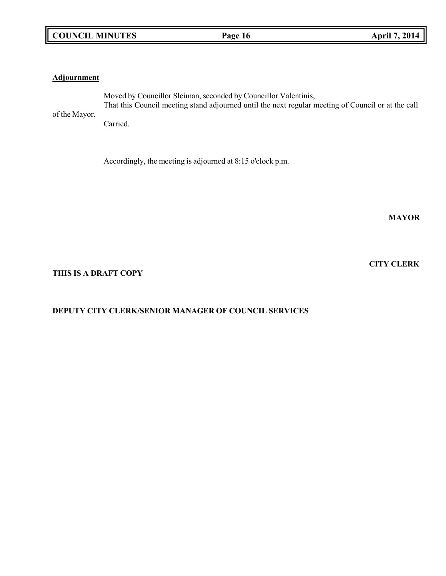# **COUNCIL MINUTES Page 16 April 7, 2014**

### **Adjournment**

of the Mayor. Moved by Councillor Sleiman, seconded by Councillor Valentinis, That this Council meeting stand adjourned until the next regular meeting of Council or at the call

Carried.

Accordingly, the meeting is adjourned at 8:15 o'clock p.m.

**MAYOR**

### **CITY CLERK**

**THIS IS A DRAFT COPY**

# **DEPUTY CITY CLERK/SENIOR MANAGER OF COUNCIL SERVICES**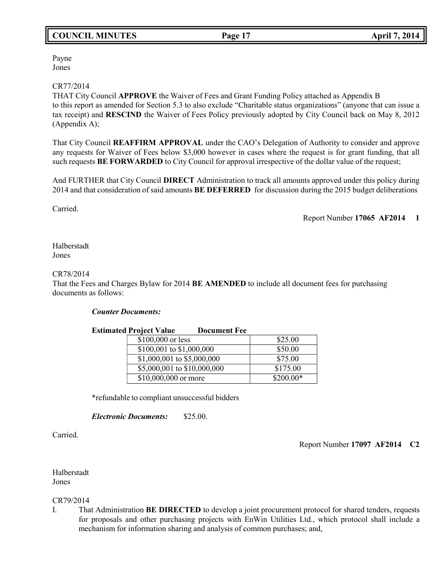# **COUNCIL MINUTES Page 17 April 7, 2014**

Payne Jones

### CR77/2014

THAT City Council **APPROVE** the Waiver of Fees and Grant Funding Policy attached as Appendix B to this report as amended for Section 5.3 to also exclude "Charitable status organizations" (anyone that can issue a tax receipt) and **RESCIND** the Waiver of Fees Policy previously adopted by City Council back on May 8, 2012 (Appendix A);

That City Council **REAFFIRM APPROVAL** under the CAO's Delegation of Authority to consider and approve any requests for Waiver of Fees below \$3,000 however in cases where the request is for grant funding, that all such requests **BE FORWARDED** to City Council for approval irrespective of the dollar value of the request;

And FURTHER that City Council **DIRECT** Administration to track all amounts approved under this policy during 2014 and that consideration of said amounts **BE DEFERRED** for discussion during the 2015 budget deliberations

Carried.

Report Number **17065 AF2014 1**

Halberstadt Jones

#### CR78/2014

That the Fees and Charges Bylaw for 2014 **BE AMENDED** to include all document fees for purchasing documents as follows:

#### *Counter Documents:*

| <b>Estimated Project Value</b> | <b>Document Fee</b> |            |
|--------------------------------|---------------------|------------|
| \$100,000 or less              |                     | \$25.00    |
| \$100,001 to \$1,000,000       |                     | \$50.00    |
| \$1,000,001 to \$5,000,000     |                     | \$75.00    |
| \$5,000,001 to \$10,000,000    |                     | \$175.00   |
| \$10,000,000 or more           |                     | $$200.00*$ |

\*refundable to compliant unsuccessful bidders

*Electronic Documents:* \$25.00.

Carried.

Report Number **17097 AF2014 C2**

Halberstadt Jones

### CR79/2014

I. That Administration **BE DIRECTED** to develop a joint procurement protocol for shared tenders, requests for proposals and other purchasing projects with EnWin Utilities Ltd., which protocol shall include a mechanism for information sharing and analysis of common purchases; and,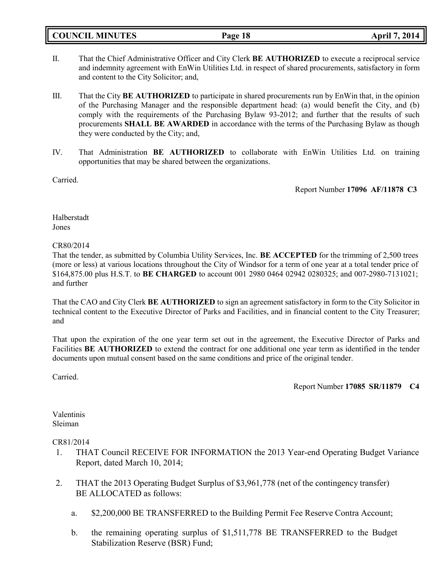**COUNCIL MINUTES Page 18 April 7, 2014**

- II. That the Chief Administrative Officer and City Clerk **BE AUTHORIZED** to execute a reciprocal service and indemnity agreement with EnWin Utilities Ltd. in respect of shared procurements, satisfactory in form and content to the City Solicitor; and,
- III. That the City **BE AUTHORIZED** to participate in shared procurements run by EnWin that, in the opinion of the Purchasing Manager and the responsible department head: (a) would benefit the City, and (b) comply with the requirements of the Purchasing Bylaw 93-2012; and further that the results of such procurements **SHALL BE AWARDED** in accordance with the terms of the Purchasing Bylaw as though they were conducted by the City; and,
- IV. That Administration **BE AUTHORIZED** to collaborate with EnWin Utilities Ltd. on training opportunities that may be shared between the organizations.

Carried.

Report Number **17096 AF/11878 C3**

Halberstadt Jones

CR80/2014

That the tender, as submitted by Columbia Utility Services, Inc. **BE ACCEPTED** for the trimming of 2,500 trees (more or less) at various locations throughout the City of Windsor for a term of one year at a total tender price of \$164,875.00 plus H.S.T. to **BE CHARGED** to account 001 2980 0464 02942 0280325; and 007-2980-7131021; and further

That the CAO and City Clerk **BE AUTHORIZED** to sign an agreement satisfactory in form to the City Solicitor in technical content to the Executive Director of Parks and Facilities, and in financial content to the City Treasurer; and

That upon the expiration of the one year term set out in the agreement, the Executive Director of Parks and Facilities **BE AUTHORIZED** to extend the contract for one additional one year term as identified in the tender documents upon mutual consent based on the same conditions and price of the original tender.

Carried.

Report Number **17085 SR/11879 C4**

Valentinis Sleiman

CR81/2014

- 1. THAT Council RECEIVE FOR INFORMATION the 2013 Year-end Operating Budget Variance Report, dated March 10, 2014;
- 2. THAT the 2013 Operating Budget Surplus of \$3,961,778 (net of the contingency transfer) BE ALLOCATED as follows:
	- a. \$2,200,000 BE TRANSFERRED to the Building Permit Fee Reserve Contra Account;
	- b. the remaining operating surplus of \$1,511,778 BE TRANSFERRED to the Budget Stabilization Reserve (BSR) Fund;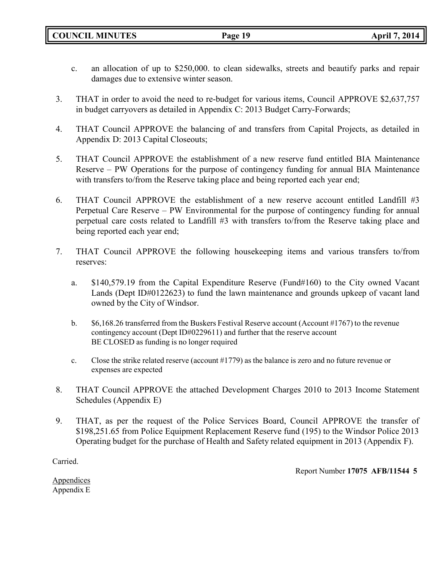- c. an allocation of up to \$250,000. to clean sidewalks, streets and beautify parks and repair damages due to extensive winter season.
- 3. THAT in order to avoid the need to re-budget for various items, Council APPROVE \$2,637,757 in budget carryovers as detailed in Appendix C: 2013 Budget Carry-Forwards;
- 4. THAT Council APPROVE the balancing of and transfers from Capital Projects, as detailed in Appendix D: 2013 Capital Closeouts;
- 5. THAT Council APPROVE the establishment of a new reserve fund entitled BIA Maintenance Reserve – PW Operations for the purpose of contingency funding for annual BIA Maintenance with transfers to/from the Reserve taking place and being reported each year end;
- 6. THAT Council APPROVE the establishment of a new reserve account entitled Landfill #3 Perpetual Care Reserve – PW Environmental for the purpose of contingency funding for annual perpetual care costs related to Landfill #3 with transfers to/from the Reserve taking place and being reported each year end;
- 7. THAT Council APPROVE the following housekeeping items and various transfers to/from reserves:
	- a. \$140,579.19 from the Capital Expenditure Reserve (Fund#160) to the City owned Vacant Lands (Dept ID#0122623) to fund the lawn maintenance and grounds upkeep of vacant land owned by the City of Windsor.
	- b. \$6,168.26 transferred from the Buskers Festival Reserve account (Account #1767) to the revenue contingency account (Dept ID#0229611) and further that the reserve account BE CLOSED as funding is no longer required
	- c. Close the strike related reserve (account #1779) as the balance is zero and no future revenue or expenses are expected
- 8. THAT Council APPROVE the attached Development Charges 2010 to 2013 Income Statement Schedules (Appendix E)
- 9. THAT, as per the request of the Police Services Board, Council APPROVE the transfer of \$198,251.65 from Police Equipment Replacement Reserve fund (195) to the Windsor Police 2013 Operating budget for the purchase of Health and Safety related equipment in 2013 (Appendix F).

Carried.

Report Number **17075 AFB/11544 5**

Appendices Appendix E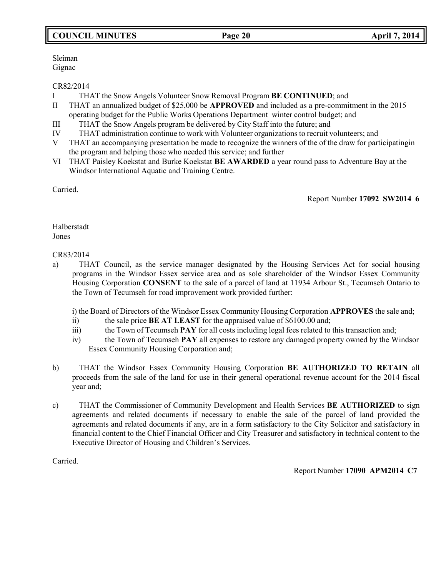# **COUNCIL MINUTES Page 20 April 7, 2014**

Sleiman Gignac

CR82/2014

- I THAT the Snow Angels Volunteer Snow Removal Program **BE CONTINUED**; and
- II THAT an annualized budget of \$25,000 be **APPROVED** and included as a pre-commitment in the 2015 operating budget for the Public Works Operations Department winter control budget; and
- III THAT the Snow Angels program be delivered by City Staff into the future; and
- IV THAT administration continue to work with Volunteer organizations to recruit volunteers; and
- V THAT an accompanying presentation be made to recognize the winners of the of the draw for participatingin the program and helping those who needed this service; and further
- VI THAT Paisley Koekstat and Burke Koekstat **BE AWARDED** a year round pass to Adventure Bay at the Windsor International Aquatic and Training Centre.

Carried.

Report Number **17092 SW2014 6**

Halberstadt Jones

## CR83/2014

a) THAT Council, as the service manager designated by the Housing Services Act for social housing programs in the Windsor Essex service area and as sole shareholder of the Windsor Essex Community Housing Corporation **CONSENT** to the sale of a parcel of land at 11934 Arbour St., Tecumseh Ontario to the Town of Tecumseh for road improvement work provided further:

i) the Board of Directors of the Windsor Essex Community Housing Corporation **APPROVES** the sale and;

- ii) the sale price **BE AT LEAST** for the appraised value of \$6100.00 and;
- iii) the Town of Tecumseh **PAY** for all costs including legal fees related to this transaction and;
- iv) the Town of Tecumseh **PAY** all expenses to restore any damaged property owned by the Windsor Essex Community Housing Corporation and;
- b) THAT the Windsor Essex Community Housing Corporation **BE AUTHORIZED TO RETAIN** all proceeds from the sale of the land for use in their general operational revenue account for the 2014 fiscal year and;
- c) THAT the Commissioner of Community Development and Health Services **BE AUTHORIZED** to sign agreements and related documents if necessary to enable the sale of the parcel of land provided the agreements and related documents if any, are in a form satisfactory to the City Solicitor and satisfactory in financial content to the Chief Financial Officer and City Treasurer and satisfactory in technical content to the Executive Director of Housing and Children's Services.

Carried.

Report Number **17090 APM2014 C7**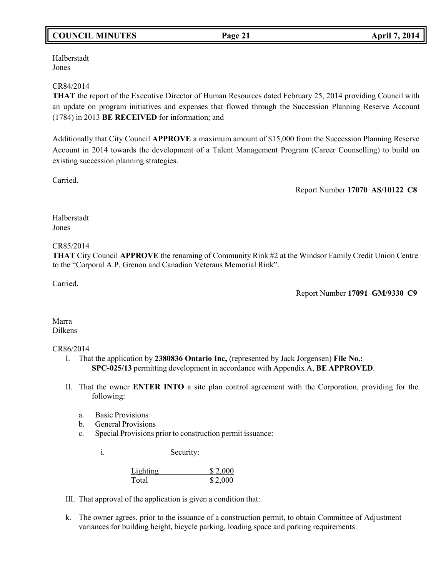# **COUNCIL MINUTES Page 21 April 7, 2014**

Halberstadt Jones

#### CR84/2014

**THAT** the report of the Executive Director of Human Resources dated February 25, 2014 providing Council with an update on program initiatives and expenses that flowed through the Succession Planning Reserve Account (1784) in 2013 **BE RECEIVED** for information; and

Additionally that City Council **APPROVE** a maximum amount of \$15,000 from the Succession Planning Reserve Account in 2014 towards the development of a Talent Management Program (Career Counselling) to build on existing succession planning strategies.

Carried.

Report Number **17070 AS/10122 C8**

Halberstadt Jones

### CR85/2014

**THAT** City Council **APPROVE** the renaming of Community Rink #2 at the Windsor Family Credit Union Centre to the "Corporal A.P. Grenon and Canadian Veterans Memorial Rink".

Carried.

Report Number **17091 GM/9330 C9**

Marra Dilkens

#### CR86/2014

- I. That the application by **2380836 Ontario Inc,** (represented by Jack Jorgensen) **File No.: SPC-025/13** permitting development in accordance with Appendix A, **BE APPROVED**.
- II. That the owner **ENTER INTO** a site plan control agreement with the Corporation, providing for the following:
	- a. Basic Provisions
	- b. General Provisions
	- c. Special Provisions prior to construction permit issuance:

i. Security:

| Lighting | \$2,000 |
|----------|---------|
| Total    | \$2,000 |

- III. That approval of the application is given a condition that:
- k. The owner agrees, prior to the issuance of a construction permit, to obtain Committee of Adjustment variances for building height, bicycle parking, loading space and parking requirements.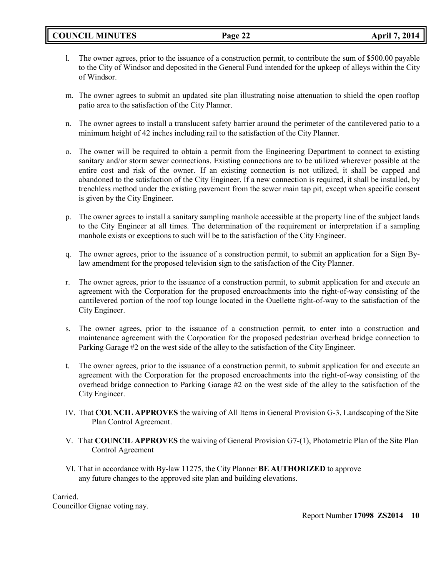- l. The owner agrees, prior to the issuance of a construction permit, to contribute the sum of \$500.00 payable to the City of Windsor and deposited in the General Fund intended for the upkeep of alleys within the City of Windsor.
- m. The owner agrees to submit an updated site plan illustrating noise attenuation to shield the open rooftop patio area to the satisfaction of the City Planner.
- n. The owner agrees to install a translucent safety barrier around the perimeter of the cantilevered patio to a minimum height of 42 inches including rail to the satisfaction of the City Planner.
- o. The owner will be required to obtain a permit from the Engineering Department to connect to existing sanitary and/or storm sewer connections. Existing connections are to be utilized wherever possible at the entire cost and risk of the owner. If an existing connection is not utilized, it shall be capped and abandoned to the satisfaction of the City Engineer. If a new connection is required, it shall be installed, by trenchless method under the existing pavement from the sewer main tap pit, except when specific consent is given by the City Engineer.
- p. The owner agrees to install a sanitary sampling manhole accessible at the property line of the subject lands to the City Engineer at all times. The determination of the requirement or interpretation if a sampling manhole exists or exceptions to such will be to the satisfaction of the City Engineer.
- q. The owner agrees, prior to the issuance of a construction permit, to submit an application for a Sign Bylaw amendment for the proposed television sign to the satisfaction of the City Planner.
- r. The owner agrees, prior to the issuance of a construction permit, to submit application for and execute an agreement with the Corporation for the proposed encroachments into the right-of-way consisting of the cantilevered portion of the roof top lounge located in the Ouellette right-of-way to the satisfaction of the City Engineer.
- s. The owner agrees, prior to the issuance of a construction permit, to enter into a construction and maintenance agreement with the Corporation for the proposed pedestrian overhead bridge connection to Parking Garage #2 on the west side of the alley to the satisfaction of the City Engineer.
- t. The owner agrees, prior to the issuance of a construction permit, to submit application for and execute an agreement with the Corporation for the proposed encroachments into the right-of-way consisting of the overhead bridge connection to Parking Garage #2 on the west side of the alley to the satisfaction of the City Engineer.
- IV. That **COUNCIL APPROVES** the waiving of All Items in General Provision G-3, Landscaping of the Site Plan Control Agreement.
- V. That **COUNCIL APPROVES** the waiving of General Provision G7-(1), Photometric Plan of the Site Plan Control Agreement
- VI. That in accordance with By-law 11275, the City Planner **BE AUTHORIZED** to approve any future changes to the approved site plan and building elevations.

Carried.

Councillor Gignac voting nay.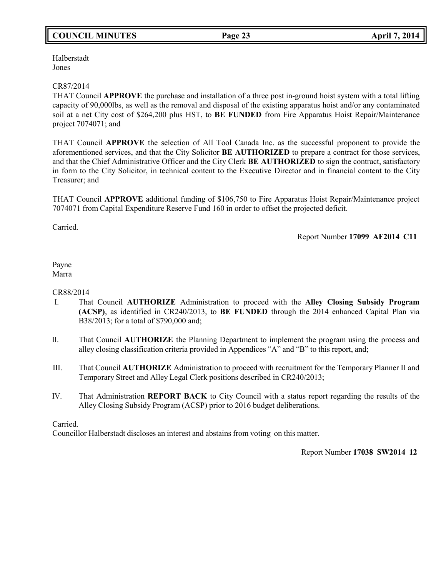# **COUNCIL MINUTES Page 23 April 7, 2014**

Halberstadt Jones

### CR87/2014

THAT Council **APPROVE** the purchase and installation of a three post in-ground hoist system with a total lifting capacity of 90,000lbs, as well as the removal and disposal of the existing apparatus hoist and/or any contaminated soil at a net City cost of \$264,200 plus HST, to **BE FUNDED** from Fire Apparatus Hoist Repair/Maintenance project 7074071; and

THAT Council **APPROVE** the selection of All Tool Canada Inc. as the successful proponent to provide the aforementioned services, and that the City Solicitor **BE AUTHORIZED** to prepare a contract for those services, and that the Chief Administrative Officer and the City Clerk **BE AUTHORIZED** to sign the contract, satisfactory in form to the City Solicitor, in technical content to the Executive Director and in financial content to the City Treasurer; and

THAT Council **APPROVE** additional funding of \$106,750 to Fire Apparatus Hoist Repair/Maintenance project 7074071 from Capital Expenditure Reserve Fund 160 in order to offset the projected deficit.

Carried.

Report Number **17099 AF2014 C11**

#### Payne Marra

### CR88/2014

- I. That Council **AUTHORIZE** Administration to proceed with the **Alley Closing Subsidy Program (ACSP)**, as identified in CR240/2013, to **BE FUNDED** through the 2014 enhanced Capital Plan via B38/2013; for a total of \$790,000 and;
- II. That Council **AUTHORIZE** the Planning Department to implement the program using the process and alley closing classification criteria provided in Appendices "A" and "B" to this report, and;
- III. That Council **AUTHORIZE** Administration to proceed with recruitment for the Temporary Planner II and Temporary Street and Alley Legal Clerk positions described in CR240/2013;
- IV. That Administration **REPORT BACK** to City Council with a status report regarding the results of the Alley Closing Subsidy Program (ACSP) prior to 2016 budget deliberations.

### Carried.

Councillor Halberstadt discloses an interest and abstains from voting on this matter.

Report Number **17038 SW2014 12**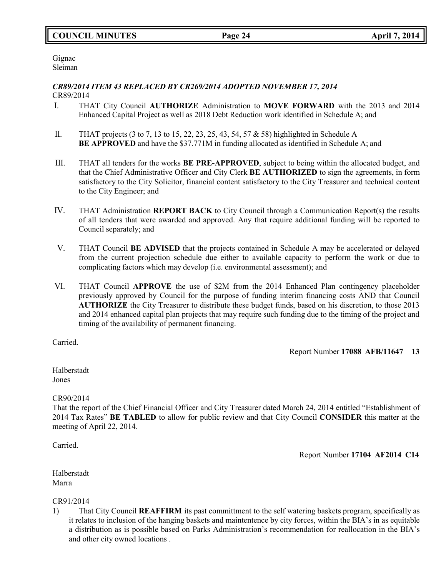Gignac Sleiman

### *CR89/2014 ITEM 43 REPLACED BY CR269/2014 ADOPTED NOVEMBER 17, 2014* CR89/2014

- I. THAT City Council **AUTHORIZE** Administration to **MOVE FORWARD** with the 2013 and 2014 Enhanced Capital Project as well as 2018 Debt Reduction work identified in Schedule A; and
- II. THAT projects (3 to 7, 13 to 15, 22, 23, 25, 43, 54, 57 & 58) highlighted in Schedule A **BE APPROVED** and have the \$37.771M in funding allocated as identified in Schedule A; and
- III. THAT all tenders for the works **BE PRE-APPROVED**, subject to being within the allocated budget, and that the Chief Administrative Officer and City Clerk **BE AUTHORIZED** to sign the agreements, in form satisfactory to the City Solicitor, financial content satisfactory to the City Treasurer and technical content to the City Engineer; and
- IV. THAT Administration **REPORT BACK** to City Council through a Communication Report(s) the results of all tenders that were awarded and approved. Any that require additional funding will be reported to Council separately; and
- V. THAT Council **BE ADVISED** that the projects contained in Schedule A may be accelerated or delayed from the current projection schedule due either to available capacity to perform the work or due to complicating factors which may develop (i.e. environmental assessment); and
- VI. THAT Council **APPROVE** the use of \$2M from the 2014 Enhanced Plan contingency placeholder previously approved by Council for the purpose of funding interim financing costs AND that Council **AUTHORIZE** the City Treasurer to distribute these budget funds, based on his discretion, to those 2013 and 2014 enhanced capital plan projects that may require such funding due to the timing of the project and timing of the availability of permanent financing.

Carried.

Report Number **17088 AFB/11647 13**

Halberstadt Jones

# CR90/2014

That the report of the Chief Financial Officer and City Treasurer dated March 24, 2014 entitled "Establishment of 2014 Tax Rates" **BE TABLED** to allow for public review and that City Council **CONSIDER** this matter at the meeting of April 22, 2014.

Carried.

Report Number **17104 AF2014 C14**

Halberstadt Marra

CR91/2014

1) That City Council **REAFFIRM** its past committment to the self watering baskets program, specifically as it relates to inclusion of the hanging baskets and maintentence by city forces, within the BIA's in as equitable a distribution as is possible based on Parks Administration's recommendation for reallocation in the BIA's and other city owned locations .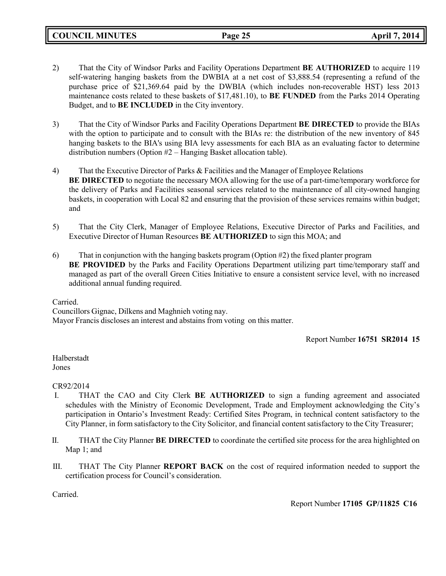**COUNCIL MINUTES Page 25 April 7, 2014**

- 2) That the City of Windsor Parks and Facility Operations Department **BE AUTHORIZED** to acquire 119 self-watering hanging baskets from the DWBIA at a net cost of \$3,888.54 (representing a refund of the purchase price of \$21,369.64 paid by the DWBIA (which includes non-recoverable HST) less 2013 maintenance costs related to these baskets of \$17,481.10), to **BE FUNDED** from the Parks 2014 Operating Budget, and to **BE INCLUDED** in the City inventory.
- 3) That the City of Windsor Parks and Facility Operations Department **BE DIRECTED** to provide the BIAs with the option to participate and to consult with the BIAs re: the distribution of the new inventory of 845 hanging baskets to the BIA's using BIA levy assessments for each BIA as an evaluating factor to determine distribution numbers (Option #2 – Hanging Basket allocation table).
- 4) That the Executive Director of Parks & Facilities and the Manager of Employee Relations **BE DIRECTED** to negotiate the necessary MOA allowing for the use of a part-time/temporary workforce for the delivery of Parks and Facilities seasonal services related to the maintenance of all city-owned hanging baskets, in cooperation with Local 82 and ensuring that the provision of these services remains within budget; and
- 5) That the City Clerk, Manager of Employee Relations, Executive Director of Parks and Facilities, and Executive Director of Human Resources **BE AUTHORIZED** to sign this MOA; and
- 6) That in conjunction with the hanging baskets program (Option #2) the fixed planter program **BE PROVIDED** by the Parks and Facility Operations Department utilizing part time/temporary staff and managed as part of the overall Green Cities Initiative to ensure a consistent service level, with no increased additional annual funding required.

Carried.

Councillors Gignac, Dilkens and Maghnieh voting nay. Mayor Francis discloses an interest and abstains from voting on this matter.

Report Number **16751 SR2014 15**

Halberstadt Jones

CR92/2014

- I. THAT the CAO and City Clerk **BE AUTHORIZED** to sign a funding agreement and associated schedules with the Ministry of Economic Development, Trade and Employment acknowledging the City's participation in Ontario's Investment Ready: Certified Sites Program, in technical content satisfactory to the City Planner, in form satisfactory to the City Solicitor, and financial content satisfactory to the City Treasurer;
- II. THAT the City Planner **BE DIRECTED** to coordinate the certified site process for the area highlighted on Map 1; and
- III. THAT The City Planner **REPORT BACK** on the cost of required information needed to support the certification process for Council's consideration.

Carried.

Report Number **17105 GP/11825 C16**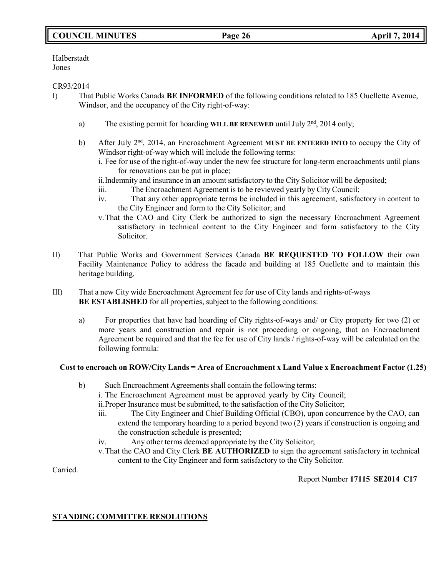# **COUNCIL MINUTES Page 26 April 7, 2014**

Halberstadt Jones

### CR93/2014

- I) That Public Works Canada **BE INFORMED** of the following conditions related to 185 Ouellette Avenue, Windsor, and the occupancy of the City right-of-way:
	- a) The existing permit for hoarding WILL BE RENEWED until July 2<sup>nd</sup>, 2014 only;
	- b) After July 2<sup>nd</sup>, 2014, an Encroachment Agreement MUST BE ENTERED INTO to occupy the City of Windsor right-of-way which will include the following terms:
		- i. Fee for use of the right-of-way under the new fee structure for long-term encroachments until plans for renovations can be put in place;

ii.Indemnity and insurance in an amount satisfactory to the City Solicitor will be deposited;

- iii. The Encroachment Agreement is to be reviewed yearly by City Council;
- iv. That any other appropriate terms be included in this agreement, satisfactory in content to the City Engineer and form to the City Solicitor; and
- v.That the CAO and City Clerk be authorized to sign the necessary Encroachment Agreement satisfactory in technical content to the City Engineer and form satisfactory to the City Solicitor.
- II) That Public Works and Government Services Canada **BE REQUESTED TO FOLLOW** their own Facility Maintenance Policy to address the facade and building at 185 Ouellette and to maintain this heritage building.
- III) That a new City wide Encroachment Agreement fee for use of City lands and rights-of-ways **BE ESTABLISHED** for all properties, subject to the following conditions:
	- a) For properties that have had hoarding of City rights-of-ways and/ or City property for two (2) or more years and construction and repair is not proceeding or ongoing, that an Encroachment Agreement be required and that the fee for use of City lands / rights-of-way will be calculated on the following formula:

### **Cost to encroach on ROW/City Lands = Area of Encroachment x Land Value x Encroachment Factor (1.25)**

b) Such Encroachment Agreements shall contain the following terms:

i. The Encroachment Agreement must be approved yearly by City Council;

ii.Proper Insurance must be submitted, to the satisfaction of the City Solicitor;

- iii. The City Engineer and Chief Building Official (CBO), upon concurrence by the CAO, can extend the temporary hoarding to a period beyond two (2) years if construction is ongoing and the construction schedule is presented;
- iv. Any other terms deemed appropriate by the City Solicitor;
- v.That the CAO and City Clerk **BE AUTHORIZED** to sign the agreement satisfactory in technical content to the City Engineer and form satisfactory to the City Solicitor.

Carried.

Report Number **17115 SE2014 C17**

# **STANDING COMMITTEE RESOLUTIONS**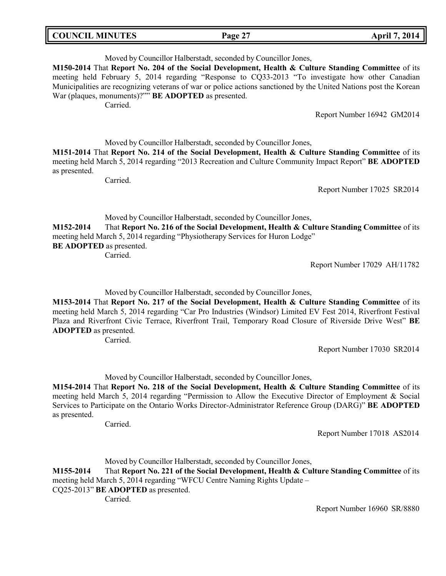| <b>COUNCIL MINUTES</b> | Page 27 | <b>April 7, 2014</b> |
|------------------------|---------|----------------------|
|                        |         |                      |

Moved by Councillor Halberstadt, seconded by Councillor Jones, **M150-2014** That **Report No. 204 of the Social Development, Health & Culture Standing Committee** of its meeting held February 5, 2014 regarding "Response to CQ33-2013 "To investigate how other Canadian Municipalities are recognizing veterans of war or police actions sanctioned by the United Nations post the Korean War (plaques, monuments)?"" **BE ADOPTED** as presented. Carried.

Report Number 16942 GM2014

Moved by Councillor Halberstadt, seconded by Councillor Jones,

**M151-2014** That **Report No. 214 of the Social Development, Health & Culture Standing Committee** of its meeting held March 5, 2014 regarding "2013 Recreation and Culture Community Impact Report" **BE ADOPTED** as presented.

Carried.

Report Number 17025 SR2014

Moved by Councillor Halberstadt, seconded by Councillor Jones, **M152-2014** That **Report No. 216 of the Social Development, Health & Culture Standing Committee** of its meeting held March 5, 2014 regarding "Physiotherapy Services for Huron Lodge" **BE ADOPTED** as presented. Carried.

Report Number 17029 AH/11782

Moved by Councillor Halberstadt, seconded by Councillor Jones,

**M153-2014** That **Report No. 217 of the Social Development, Health & Culture Standing Committee** of its meeting held March 5, 2014 regarding "Car Pro Industries (Windsor) Limited EV Fest 2014, Riverfront Festival Plaza and Riverfront Civic Terrace, Riverfront Trail, Temporary Road Closure of Riverside Drive West" **BE ADOPTED** as presented.

Carried.

Report Number 17030 SR2014

Moved by Councillor Halberstadt, seconded by Councillor Jones,

**M154-2014** That **Report No. 218 of the Social Development, Health & Culture Standing Committee** of its meeting held March 5, 2014 regarding "Permission to Allow the Executive Director of Employment & Social Services to Participate on the Ontario Works Director-Administrator Reference Group (DARG)" **BE ADOPTED** as presented.

Carried.

Report Number 17018 AS2014

Moved by Councillor Halberstadt, seconded by Councillor Jones,

**M155-2014** That **Report No. 221 of the Social Development, Health & Culture Standing Committee** of its meeting held March 5, 2014 regarding "WFCU Centre Naming Rights Update –

CQ25-2013" **BE ADOPTED** as presented.

Carried.

Report Number 16960 SR/8880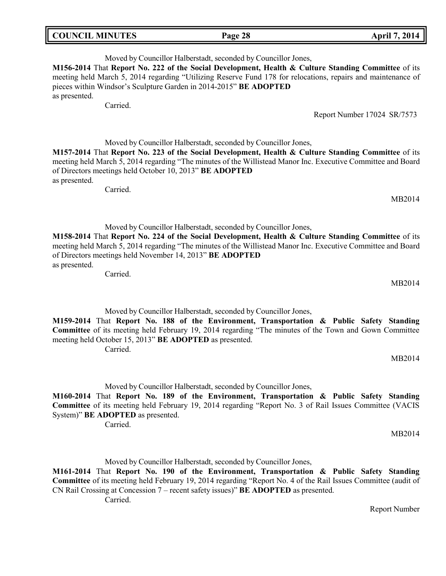| <b>COUNCIL MINUTES</b> | Page 28 | <b>April 7, 2014</b> |
|------------------------|---------|----------------------|
|                        |         |                      |

Moved by Councillor Halberstadt, seconded by Councillor Jones, **M156-2014** That **Report No. 222 of the Social Development, Health & Culture Standing Committee** of its meeting held March 5, 2014 regarding "Utilizing Reserve Fund 178 for relocations, repairs and maintenance of pieces within Windsor's Sculpture Garden in 2014-2015" **BE ADOPTED** as presented.

Carried.

Report Number 17024 SR/7573

Moved by Councillor Halberstadt, seconded by Councillor Jones, **M157-2014** That **Report No. 223 of the Social Development, Health & Culture Standing Committee** of its

meeting held March 5, 2014 regarding "The minutes of the Willistead Manor Inc. Executive Committee and Board of Directors meetings held October 10, 2013" **BE ADOPTED** as presented.

Carried.

Moved by Councillor Halberstadt, seconded by Councillor Jones,

**M158-2014** That **Report No. 224 of the Social Development, Health & Culture Standing Committee** of its meeting held March 5, 2014 regarding "The minutes of the Willistead Manor Inc. Executive Committee and Board of Directors meetings held November 14, 2013" **BE ADOPTED** as presented.

Carried.

Moved by Councillor Halberstadt, seconded by Councillor Jones,

**M159-2014** That **Report No. 188 of the Environment, Transportation & Public Safety Standing Committee** of its meeting held February 19, 2014 regarding "The minutes of the Town and Gown Committee meeting held October 15, 2013" **BE ADOPTED** as presented. Carried.

MB2014

MB2014

MB2014

Moved by Councillor Halberstadt, seconded by Councillor Jones,

**M160-2014** That **Report No. 189 of the Environment, Transportation & Public Safety Standing Committee** of its meeting held February 19, 2014 regarding "Report No. 3 of Rail Issues Committee (VACIS System)" **BE ADOPTED** as presented.

Carried.

MB2014

Moved by Councillor Halberstadt, seconded by Councillor Jones,

**M161-2014** That **Report No. 190 of the Environment, Transportation & Public Safety Standing Committee** of its meeting held February 19, 2014 regarding "Report No. 4 of the Rail Issues Committee (audit of CN Rail Crossing at Concession 7 – recent safety issues)" **BE ADOPTED** as presented. Carried.

Report Number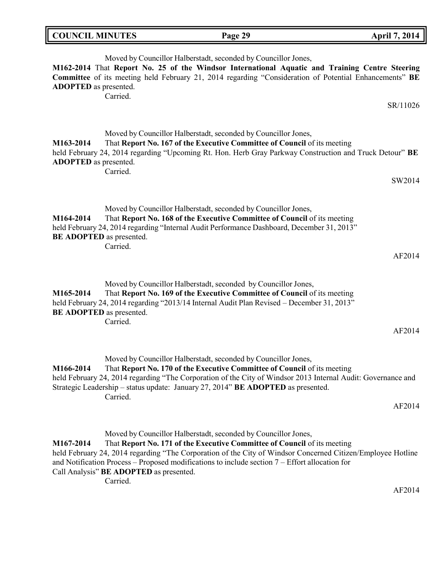| <b>COUNCIL MINUTES</b>                       |          | Page 29                                                                                                                                                                                                                                                                                                                                        | <b>April 7, 2014</b> |
|----------------------------------------------|----------|------------------------------------------------------------------------------------------------------------------------------------------------------------------------------------------------------------------------------------------------------------------------------------------------------------------------------------------------|----------------------|
| <b>ADOPTED</b> as presented.                 | Carried. | Moved by Councillor Halberstadt, seconded by Councillor Jones,<br>M162-2014 That Report No. 25 of the Windsor International Aquatic and Training Centre Steering<br>Committee of its meeting held February 21, 2014 regarding "Consideration of Potential Enhancements" BE                                                                     |                      |
|                                              |          |                                                                                                                                                                                                                                                                                                                                                | SR/11026             |
| M163-2014<br><b>ADOPTED</b> as presented.    |          | Moved by Councillor Halberstadt, seconded by Councillor Jones,<br>That Report No. 167 of the Executive Committee of Council of its meeting<br>held February 24, 2014 regarding "Upcoming Rt. Hon. Herb Gray Parkway Construction and Truck Detour" BE                                                                                          |                      |
|                                              | Carried. |                                                                                                                                                                                                                                                                                                                                                | SW2014               |
| M164-2014<br>BE ADOPTED as presented.        | Carried. | Moved by Councillor Halberstadt, seconded by Councillor Jones,<br>That Report No. 168 of the Executive Committee of Council of its meeting<br>held February 24, 2014 regarding "Internal Audit Performance Dashboard, December 31, 2013"                                                                                                       | AF2014               |
| M165-2014<br><b>BE ADOPTED</b> as presented. | Carried. | Moved by Councillor Halberstadt, seconded by Councillor Jones,<br>That Report No. 169 of the Executive Committee of Council of its meeting<br>held February 24, 2014 regarding "2013/14 Internal Audit Plan Revised - December 31, 2013"                                                                                                       | AF2014               |
| M166-2014                                    | Carried. | Moved by Councillor Halberstadt, seconded by Councillor Jones,<br>That Report No. 170 of the Executive Committee of Council of its meeting<br>held February 24, 2014 regarding "The Corporation of the City of Windsor 2013 Internal Audit: Governance and<br>Strategic Leadership - status update: January 27, 2014" BE ADOPTED as presented. | AF2014               |
|                                              |          |                                                                                                                                                                                                                                                                                                                                                |                      |

Moved by Councillor Halberstadt, seconded by Councillor Jones, **M167-2014** That **Report No. 171 of the Executive Committee of Council** of its meeting held February 24, 2014 regarding "The Corporation of the City of Windsor Concerned Citizen/Employee Hotline and Notification Process – Proposed modifications to include section 7 – Effort allocation for Call Analysis" **BE ADOPTED** as presented. Carried.

AF2014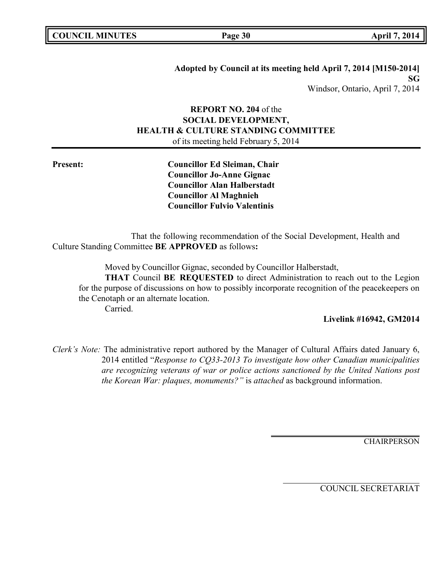**Adopted by Council at its meeting held April 7, 2014 [M150-2014] SG** Windsor, Ontario, April 7, 2014

# **REPORT NO. 204** of the **SOCIAL DEVELOPMENT, HEALTH & CULTURE STANDING COMMITTEE** of its meeting held February 5, 2014

**Present: Councillor Ed Sleiman, Chair Councillor Jo-Anne Gignac Councillor Alan Halberstadt Councillor Al Maghnieh Councillor Fulvio Valentinis**

That the following recommendation of the Social Development, Health and Culture Standing Committee **BE APPROVED** as follows**:**

Moved by Councillor Gignac, seconded by Councillor Halberstadt,

**THAT** Council **BE REQUESTED** to direct Administration to reach out to the Legion for the purpose of discussions on how to possibly incorporate recognition of the peacekeepers on the Cenotaph or an alternate location. Carried.

### **Livelink #16942, GM2014**

*Clerk's Note:* The administrative report authored by the Manager of Cultural Affairs dated January 6, 2014 entitled "*Response to CQ33-2013 To investigate how other Canadian municipalities are recognizing veterans of war or police actions sanctioned by the United Nations post the Korean War: plaques, monuments?"* is *attached* as background information.

**CHAIRPERSON**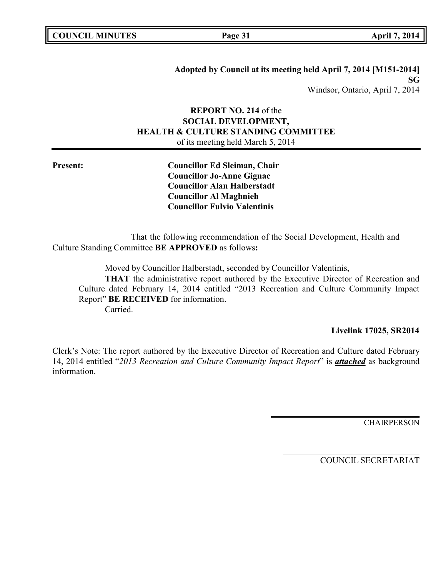**Adopted by Council at its meeting held April 7, 2014 [M151-2014] SG** Windsor, Ontario, April 7, 2014

# **REPORT NO. 214** of the **SOCIAL DEVELOPMENT, HEALTH & CULTURE STANDING COMMITTEE** of its meeting held March 5, 2014

**Present: Councillor Ed Sleiman, Chair Councillor Jo-Anne Gignac Councillor Alan Halberstadt Councillor Al Maghnieh Councillor Fulvio Valentinis**

That the following recommendation of the Social Development, Health and Culture Standing Committee **BE APPROVED** as follows**:**

Moved by Councillor Halberstadt, seconded by Councillor Valentinis,

**THAT** the administrative report authored by the Executive Director of Recreation and Culture dated February 14, 2014 entitled "2013 Recreation and Culture Community Impact Report" **BE RECEIVED** for information.

Carried.

# **Livelink 17025, SR2014**

Clerk's Note: The report authored by the Executive Director of Recreation and Culture dated February 14, 2014 entitled "*2013 Recreation and Culture Community Impact Report*" is *attached* as background information.

**CHAIRPERSON**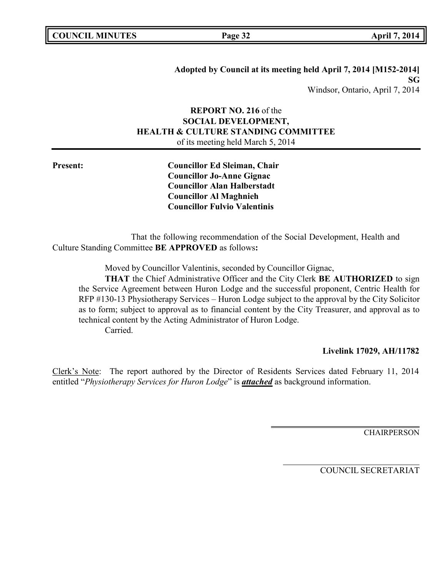**Adopted by Council at its meeting held April 7, 2014 [M152-2014] SG** Windsor, Ontario, April 7, 2014

# **REPORT NO. 216** of the **SOCIAL DEVELOPMENT, HEALTH & CULTURE STANDING COMMITTEE** of its meeting held March 5, 2014

**Present: Councillor Ed Sleiman, Chair Councillor Jo-Anne Gignac Councillor Alan Halberstadt Councillor Al Maghnieh Councillor Fulvio Valentinis**

That the following recommendation of the Social Development, Health and Culture Standing Committee **BE APPROVED** as follows**:**

Moved by Councillor Valentinis, seconded by Councillor Gignac,

**THAT** the Chief Administrative Officer and the City Clerk **BE AUTHORIZED** to sign the Service Agreement between Huron Lodge and the successful proponent, Centric Health for RFP #130-13 Physiotherapy Services – Huron Lodge subject to the approval by the City Solicitor as to form; subject to approval as to financial content by the City Treasurer, and approval as to technical content by the Acting Administrator of Huron Lodge. Carried.

### **Livelink 17029, AH/11782**

Clerk's Note: The report authored by the Director of Residents Services dated February 11, 2014 entitled "*Physiotherapy Services for Huron Lodge*" is *attached* as background information.

**CHAIRPERSON**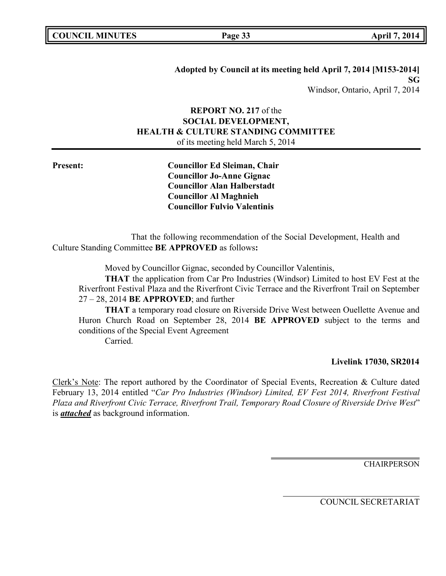# **REPORT NO. 217** of the **SOCIAL DEVELOPMENT, HEALTH & CULTURE STANDING COMMITTEE** of its meeting held March 5, 2014

**Present: Councillor Ed Sleiman, Chair Councillor Jo-Anne Gignac Councillor Alan Halberstadt Councillor Al Maghnieh Councillor Fulvio Valentinis**

That the following recommendation of the Social Development, Health and Culture Standing Committee **BE APPROVED** as follows**:**

Moved by Councillor Gignac, seconded by Councillor Valentinis,

**THAT** the application from Car Pro Industries (Windsor) Limited to host EV Fest at the Riverfront Festival Plaza and the Riverfront Civic Terrace and the Riverfront Trail on September 27 – 28, 2014 **BE APPROVED**; and further

**THAT** a temporary road closure on Riverside Drive West between Ouellette Avenue and Huron Church Road on September 28, 2014 **BE APPROVED** subject to the terms and conditions of the Special Event Agreement Carried.

### **Livelink 17030, SR2014**

Clerk's Note: The report authored by the Coordinator of Special Events, Recreation & Culture dated February 13, 2014 entitled "*Car Pro Industries (Windsor) Limited, EV Fest 2014, Riverfront Festival Plaza and Riverfront Civic Terrace, Riverfront Trail, Temporary Road Closure of Riverside Drive West*" is *attached* as background information.

**CHAIRPERSON**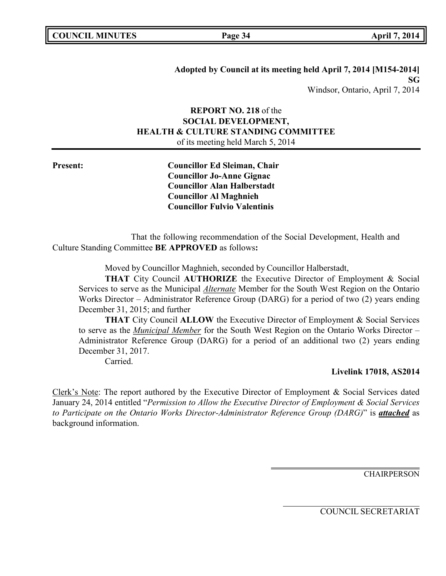# **REPORT NO. 218** of the **SOCIAL DEVELOPMENT, HEALTH & CULTURE STANDING COMMITTEE** of its meeting held March 5, 2014

**Present: Councillor Ed Sleiman, Chair Councillor Jo-Anne Gignac Councillor Alan Halberstadt Councillor Al Maghnieh Councillor Fulvio Valentinis**

That the following recommendation of the Social Development, Health and Culture Standing Committee **BE APPROVED** as follows**:**

Moved by Councillor Maghnieh, seconded by Councillor Halberstadt,

**THAT** City Council **AUTHORIZE** the Executive Director of Employment & Social Services to serve as the Municipal *Alternate* Member for the South West Region on the Ontario Works Director – Administrator Reference Group (DARG) for a period of two (2) years ending December 31, 2015; and further

**THAT** City Council **ALLOW** the Executive Director of Employment & Social Services to serve as the *Municipal Member* for the South West Region on the Ontario Works Director – Administrator Reference Group (DARG) for a period of an additional two (2) years ending December 31, 2017.

Carried.

# **Livelink 17018, AS2014**

Clerk's Note: The report authored by the Executive Director of Employment & Social Services dated January 24, 2014 entitled "*Permission to Allow the Executive Director of Employment & Social Services to Participate on the Ontario Works Director-Administrator Reference Group (DARG)*" is *attached* as background information.

**CHAIRPERSON**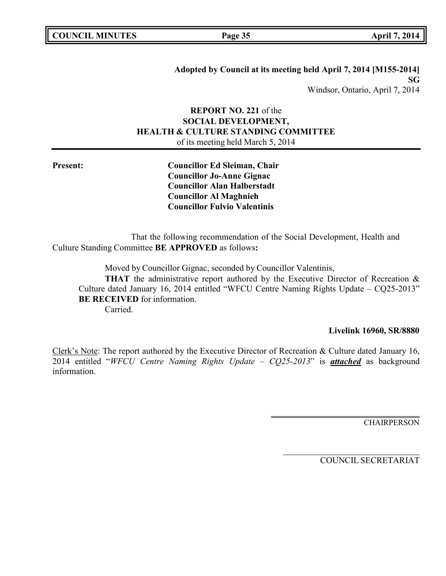**Adopted by Council at its meeting held April 7, 2014 [M155-2014] SG** Windsor, Ontario, April 7, 2014

# **REPORT NO. 221** of the **SOCIAL DEVELOPMENT, HEALTH & CULTURE STANDING COMMITTEE** of its meeting held March 5, 2014

**Present: Councillor Ed Sleiman, Chair Councillor Jo-Anne Gignac Councillor Alan Halberstadt Councillor Al Maghnieh Councillor Fulvio Valentinis**

That the following recommendation of the Social Development, Health and Culture Standing Committee **BE APPROVED** as follows**:**

Moved by Councillor Gignac, seconded by Councillor Valentinis,

**THAT** the administrative report authored by the Executive Director of Recreation & Culture dated January 16, 2014 entitled "WFCU Centre Naming Rights Update – CQ25-2013" **BE RECEIVED** for information.

Carried.

### **Livelink 16960, SR/8880**

Clerk's Note: The report authored by the Executive Director of Recreation & Culture dated January 16, 2014 entitled "*WFCU Centre Naming Rights Update – CQ25-2013*" is *attached* as background information.

**CHAIRPERSON**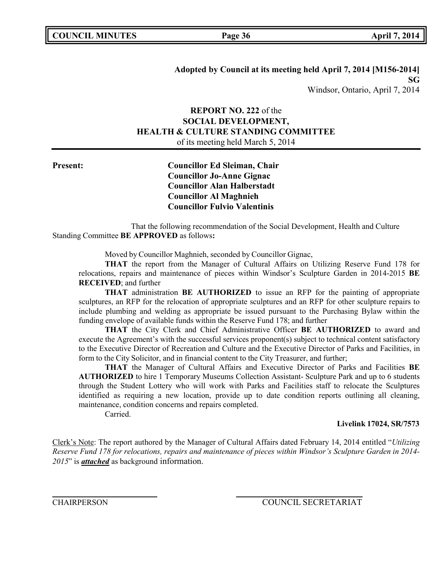**Adopted by Council at its meeting held April 7, 2014 [M156-2014] SG** Windsor, Ontario, April 7, 2014

# **REPORT NO. 222** of the **SOCIAL DEVELOPMENT, HEALTH & CULTURE STANDING COMMITTEE** of its meeting held March 5, 2014

# **Present: Councillor Ed Sleiman, Chair Councillor Jo-Anne Gignac Councillor Alan Halberstadt Councillor Al Maghnieh Councillor Fulvio Valentinis**

That the following recommendation of the Social Development, Health and Culture Standing Committee **BE APPROVED** as follows**:**

Moved by Councillor Maghnieh, seconded by Councillor Gignac,

**THAT** the report from the Manager of Cultural Affairs on Utilizing Reserve Fund 178 for relocations, repairs and maintenance of pieces within Windsor's Sculpture Garden in 2014-2015 **BE RECEIVED**; and further

**THAT** administration **BE AUTHORIZED** to issue an RFP for the painting of appropriate sculptures, an RFP for the relocation of appropriate sculptures and an RFP for other sculpture repairs to include plumbing and welding as appropriate be issued pursuant to the Purchasing Bylaw within the funding envelope of available funds within the Reserve Fund 178; and further

**THAT** the City Clerk and Chief Administrative Officer **BE AUTHORIZED** to award and execute the Agreement's with the successful services proponent(s) subject to technical content satisfactory to the Executive Director of Recreation and Culture and the Executive Director of Parks and Facilities, in form to the City Solicitor, and in financial content to the City Treasurer, and further;

**THAT** the Manager of Cultural Affairs and Executive Director of Parks and Facilities **BE AUTHORIZED** to hire 1 Temporary Museums Collection Assistant- Sculpture Park and up to 6 students through the Student Lottery who will work with Parks and Facilities staff to relocate the Sculptures identified as requiring a new location, provide up to date condition reports outlining all cleaning, maintenance, condition concerns and repairs completed.

Carried.

### **Livelink 17024, SR/7573**

Clerk's Note: The report authored by the Manager of Cultural Affairs dated February 14, 2014 entitled "*Utilizing Reserve Fund 178 for relocations, repairs and maintenance of pieces within Windsor's Sculpture Garden in 2014- 2015*" is *attached* as background information.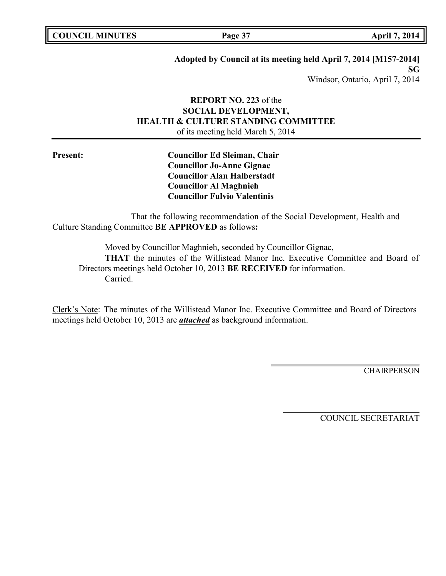**Page 37 April 7, 2014** 

# **Adopted by Council at its meeting held April 7, 2014 [M157-2014]**

**SG** Windsor, Ontario, April 7, 2014

# **REPORT NO. 223** of the **SOCIAL DEVELOPMENT, HEALTH & CULTURE STANDING COMMITTEE** of its meeting held March 5, 2014

**Present: Councillor Ed Sleiman, Chair Councillor Jo-Anne Gignac Councillor Alan Halberstadt Councillor Al Maghnieh Councillor Fulvio Valentinis**

That the following recommendation of the Social Development, Health and Culture Standing Committee **BE APPROVED** as follows**:**

Moved by Councillor Maghnieh, seconded by Councillor Gignac, **THAT** the minutes of the Willistead Manor Inc. Executive Committee and Board of Directors meetings held October 10, 2013 **BE RECEIVED** for information. Carried.

Clerk's Note: The minutes of the Willistead Manor Inc. Executive Committee and Board of Directors meetings held October 10, 2013 are *attached* as background information.

**CHAIRPERSON**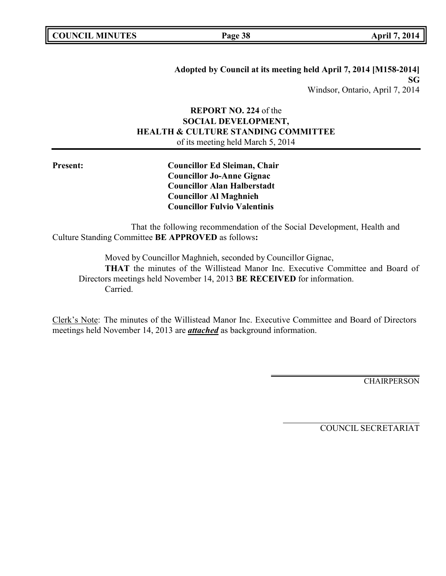**Adopted by Council at its meeting held April 7, 2014 [M158-2014] SG** Windsor, Ontario, April 7, 2014

# **REPORT NO. 224** of the **SOCIAL DEVELOPMENT, HEALTH & CULTURE STANDING COMMITTEE** of its meeting held March 5, 2014

**Present: Councillor Ed Sleiman, Chair Councillor Jo-Anne Gignac Councillor Alan Halberstadt Councillor Al Maghnieh Councillor Fulvio Valentinis**

That the following recommendation of the Social Development, Health and Culture Standing Committee **BE APPROVED** as follows**:**

Moved by Councillor Maghnieh, seconded by Councillor Gignac, **THAT** the minutes of the Willistead Manor Inc. Executive Committee and Board of Directors meetings held November 14, 2013 **BE RECEIVED** for information. Carried.

Clerk's Note: The minutes of the Willistead Manor Inc. Executive Committee and Board of Directors meetings held November 14, 2013 are *attached* as background information.

**CHAIRPERSON**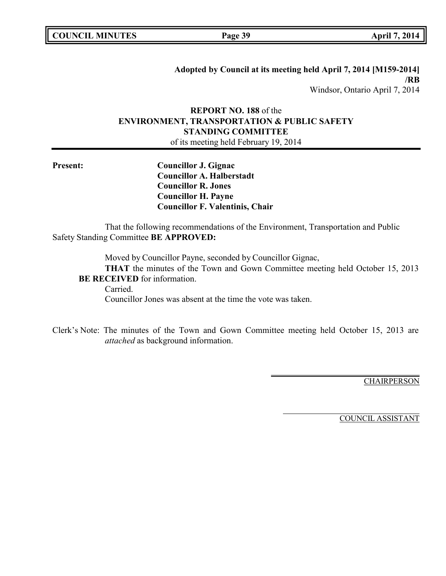**Adopted by Council at its meeting held April 7, 2014 [M159-2014] /RB** Windsor, Ontario April 7, 2014

# **REPORT NO. 188** of the **ENVIRONMENT, TRANSPORTATION & PUBLIC SAFETY STANDING COMMITTEE**

of its meeting held February 19, 2014

**Present: Councillor J. Gignac Councillor A. Halberstadt Councillor R. Jones Councillor H. Payne Councillor F. Valentinis, Chair**

That the following recommendations of the Environment, Transportation and Public Safety Standing Committee **BE APPROVED:**

Moved by Councillor Payne, seconded by Councillor Gignac,

**THAT** the minutes of the Town and Gown Committee meeting held October 15, 2013 **BE RECEIVED** for information.

Carried.

Councillor Jones was absent at the time the vote was taken.

Clerk's Note: The minutes of the Town and Gown Committee meeting held October 15, 2013 are *attached* as background information.

**CHAIRPERSON** 

COUNCIL ASSISTANT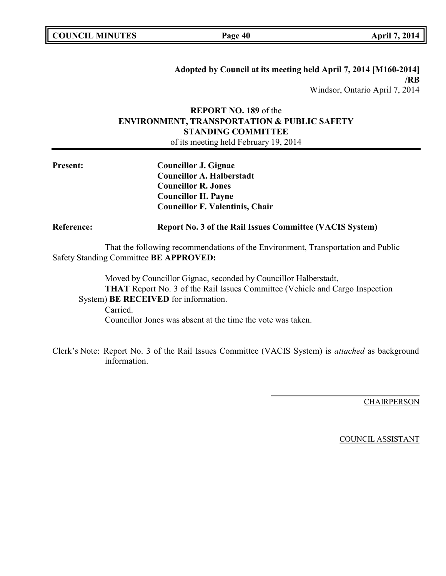| <b>COUNCIL MINUTES</b> |  |
|------------------------|--|
|------------------------|--|

**Page 40 April 7, 2014** 

**Adopted by Council at its meeting held April 7, 2014 [M160-2014] /RB** Windsor, Ontario April 7, 2014

# **REPORT NO. 189** of the **ENVIRONMENT, TRANSPORTATION & PUBLIC SAFETY STANDING COMMITTEE**

of its meeting held February 19, 2014

| <b>Present:</b>   | <b>Councillor J. Gignac</b><br><b>Councillor A. Halberstadt</b><br><b>Councillor R. Jones</b><br><b>Councillor H. Payne</b><br><b>Councillor F. Valentinis, Chair</b>                          |  |
|-------------------|------------------------------------------------------------------------------------------------------------------------------------------------------------------------------------------------|--|
| <b>Reference:</b> | <b>Report No. 3 of the Rail Issues Committee (VACIS System)</b>                                                                                                                                |  |
|                   | That the following recommendations of the Environment, Transportation and Public<br>Safety Standing Committee BE APPROVED:                                                                     |  |
|                   | Moved by Councillor Gignac, seconded by Councillor Halberstadt,<br><b>THAT</b> Report No. 3 of the Rail Issues Committee (Vehicle and Cargo Inspection<br>System) BE RECEIVED for information. |  |

Carried. Councillor Jones was absent at the time the vote was taken.

Clerk's Note: Report No. 3 of the Rail Issues Committee (VACIS System) is *attached* as background information.

**CHAIRPERSON** 

COUNCIL ASSISTANT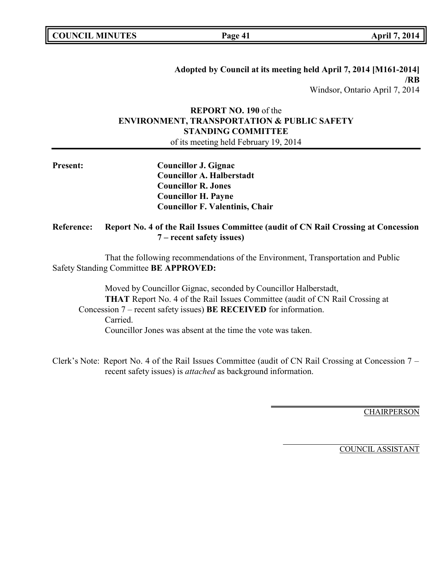| <b>COUNCIL MINUTES</b> |  |
|------------------------|--|
|------------------------|--|

**Page 41 April 7, 2014** 

# **REPORT NO. 190** of the **ENVIRONMENT, TRANSPORTATION & PUBLIC SAFETY STANDING COMMITTEE**

of its meeting held February 19, 2014

| <b>Present:</b> | Councillor J. Gignac                   |
|-----------------|----------------------------------------|
|                 | <b>Councillor A. Halberstadt</b>       |
|                 | <b>Councillor R. Jones</b>             |
|                 | <b>Councillor H. Payne</b>             |
|                 | <b>Councillor F. Valentinis, Chair</b> |

# **Reference: Report No. 4 of the Rail Issues Committee (audit of CN Rail Crossing at Concession 7 – recent safety issues)**

That the following recommendations of the Environment, Transportation and Public Safety Standing Committee **BE APPROVED:**

Moved by Councillor Gignac, seconded by Councillor Halberstadt, **THAT** Report No. 4 of the Rail Issues Committee (audit of CN Rail Crossing at Concession 7 – recent safety issues) **BE RECEIVED** for information. Carried. Councillor Jones was absent at the time the vote was taken.

Clerk's Note: Report No. 4 of the Rail Issues Committee (audit of CN Rail Crossing at Concession 7 – recent safety issues) is *attached* as background information.

**CHAIRPERSON** 

COUNCIL ASSISTANT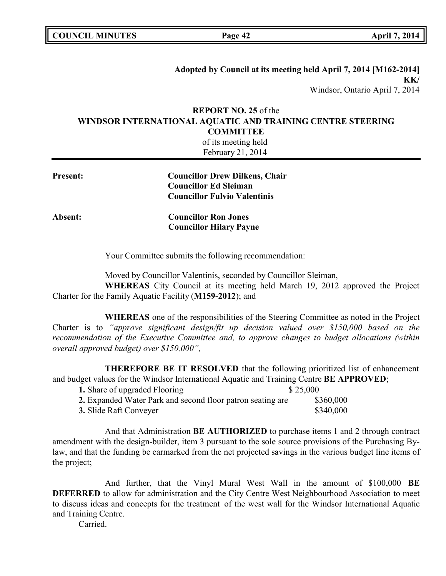**COUNCIL MINUTES Page 42 April 7, 2014**

# **Adopted by Council at its meeting held April 7, 2014 [M162-2014] KK/** Windsor, Ontario April 7, 2014

# **REPORT NO. 25** of the **WINDSOR INTERNATIONAL AQUATIC AND TRAINING CENTRE STEERING COMMITTEE**

| of its meeting held<br>February 21, 2014 |                                                                                                              |  |
|------------------------------------------|--------------------------------------------------------------------------------------------------------------|--|
| <b>Present:</b>                          | <b>Councillor Drew Dilkens, Chair</b><br><b>Councillor Ed Sleiman</b><br><b>Councillor Fulvio Valentinis</b> |  |
| Absent:                                  | <b>Councillor Ron Jones</b><br><b>Councillor Hilary Payne</b>                                                |  |

Your Committee submits the following recommendation:

Moved by Councillor Valentinis, seconded by Councillor Sleiman,

**WHEREAS** City Council at its meeting held March 19, 2012 approved the Project Charter for the Family Aquatic Facility (**M159-2012**); and

**WHEREAS** one of the responsibilities of the Steering Committee as noted in the Project Charter is to *"approve significant design/fit up decision valued over \$150,000 based on the recommendation of the Executive Committee and, to approve changes to budget allocations (within overall approved budget) over \$150,000",*

**THEREFORE BE IT RESOLVED** that the following prioritized list of enhancement and budget values for the Windsor International Aquatic and Training Centre **BE APPROVED**;

| 1. Share of upgraded Flooring                              | \$25,000  |
|------------------------------------------------------------|-----------|
| 2. Expanded Water Park and second floor patron seating are | \$360,000 |
| <b>3.</b> Slide Raft Conveyer                              | \$340,000 |

And that Administration **BE AUTHORIZED** to purchase items 1 and 2 through contract amendment with the design-builder, item 3 pursuant to the sole source provisions of the Purchasing Bylaw, and that the funding be earmarked from the net projected savings in the various budget line items of the project;

And further, that the Vinyl Mural West Wall in the amount of \$100,000 **BE DEFERRED** to allow for administration and the City Centre West Neighbourhood Association to meet to discuss ideas and concepts for the treatment of the west wall for the Windsor International Aquatic and Training Centre.

Carried.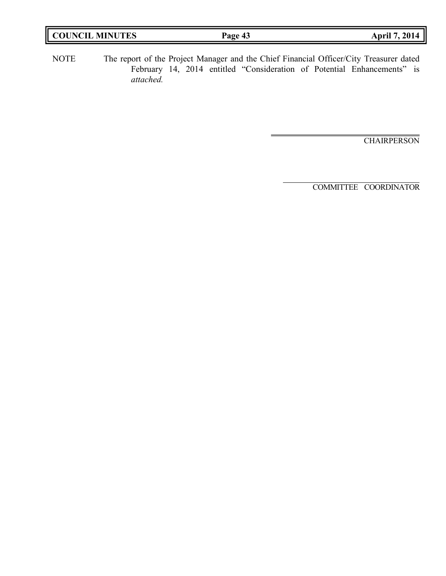| <b>COUNCIL</b><br><b>MINUTES</b> | Page<br>$\sqrt{2}$<br>ு | 2014<br>April |
|----------------------------------|-------------------------|---------------|
|                                  |                         |               |

NOTE The report of the Project Manager and the Chief Financial Officer/City Treasurer dated February 14, 2014 entitled "Consideration of Potential Enhancements" is *attached.*

**CHAIRPERSON** 

COMMITTEE COORDINATOR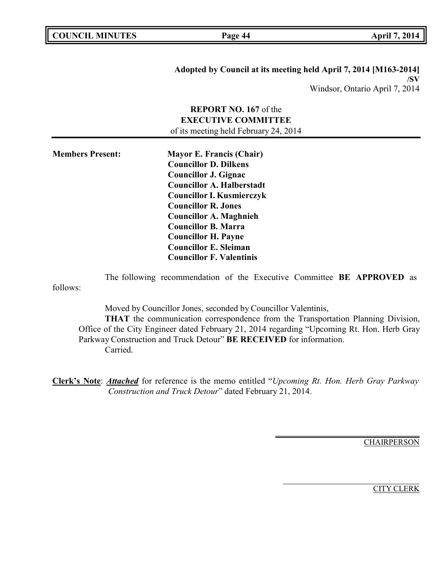**Page 44 April 7, 2014** 

**Adopted by Council at its meeting held April 7, 2014 [M163-2014] /SV** Windsor, Ontario April 7, 2014

# **REPORT NO. 167** of the **EXECUTIVE COMMITTEE** of its meeting held February 24, 2014

**Members Present: Mayor E. Francis (Chair) Councillor D. Dilkens Councillor J. Gignac Councillor A. Halberstadt Councillor I. Kusmierczyk Councillor R. Jones Councillor A. Maghnieh Councillor B. Marra Councillor H. Payne Councillor E. Sleiman Councillor F. Valentinis**

The following recommendation of the Executive Committee **BE APPROVED** as follows:

Moved by Councillor Jones, seconded by Councillor Valentinis,

**THAT** the communication correspondence from the Transportation Planning Division, Office of the City Engineer dated February 21, 2014 regarding "Upcoming Rt. Hon. Herb Gray Parkway Construction and Truck Detour" **BE RECEIVED** for information. Carried.

**Clerk's Note**: *Attached* for reference is the memo entitled "*Upcoming Rt. Hon. Herb Gray Parkway Construction and Truck Detour*" dated February 21, 2014.

**CHAIRPERSON**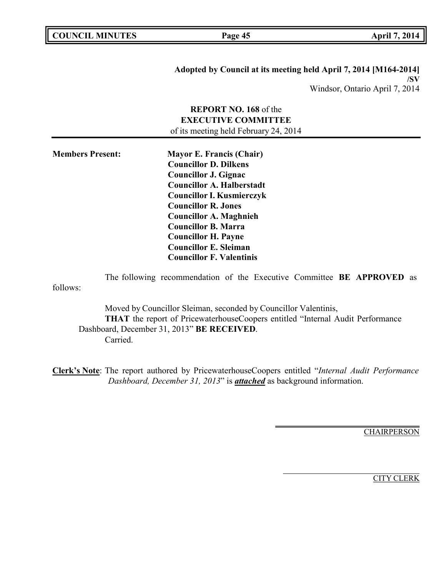**COUNCIL MINUTES Page 45 April 7, 2014**

**Adopted by Council at its meeting held April 7, 2014 [M164-2014] /SV** Windsor, Ontario April 7, 2014

# **REPORT NO. 168** of the **EXECUTIVE COMMITTEE** of its meeting held February 24, 2014

**Members Present: Mayor E. Francis (Chair) Councillor D. Dilkens Councillor J. Gignac Councillor A. Halberstadt Councillor I. Kusmierczyk Councillor R. Jones Councillor A. Maghnieh Councillor B. Marra Councillor H. Payne Councillor E. Sleiman Councillor F. Valentinis**

The following recommendation of the Executive Committee **BE APPROVED** as follows:

Moved by Councillor Sleiman, seconded by Councillor Valentinis, **THAT** the report of PricewaterhouseCoopers entitled "Internal Audit Performance Dashboard, December 31, 2013" **BE RECEIVED**. Carried.

**Clerk's Note**: The report authored by PricewaterhouseCoopers entitled "*Internal Audit Performance Dashboard, December 31, 2013*" is *attached* as background information.

**CHAIRPERSON**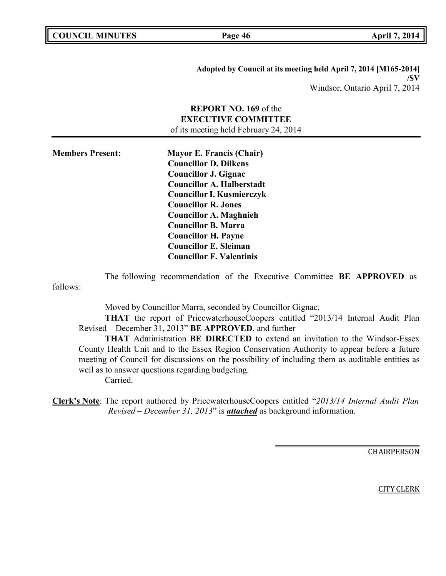**Page 46 April 7, 2014** 

**Adopted by Council at its meeting held April 7, 2014 [M165-2014] /SV** Windsor, Ontario April 7, 2014

# **REPORT NO. 169** of the **EXECUTIVE COMMITTEE**

of its meeting held February 24, 2014

**Members Present: Mayor E. Francis (Chair) Councillor D. Dilkens Councillor J. Gignac Councillor A. Halberstadt Councillor I. Kusmierczyk Councillor R. Jones Councillor A. Maghnieh Councillor B. Marra Councillor H. Payne Councillor E. Sleiman Councillor F. Valentinis**

The following recommendation of the Executive Committee **BE APPROVED** as follows:

Moved by Councillor Marra, seconded by Councillor Gignac,

**THAT** the report of PricewaterhouseCoopers entitled "2013/14 Internal Audit Plan Revised – December 31, 2013" **BE APPROVED**, and further

**THAT** Administration **BE DIRECTED** to extend an invitation to the Windsor-Essex County Health Unit and to the Essex Region Conservation Authority to appear before a future meeting of Council for discussions on the possibility of including them as auditable entities as well as to answer questions regarding budgeting. Carried.

**Clerk's Note**: The report authored by PricewaterhouseCoopers entitled "*2013/14 Internal Audit Plan Revised – December 31, 2013*" is *attached* as background information.

CHAIRPERSON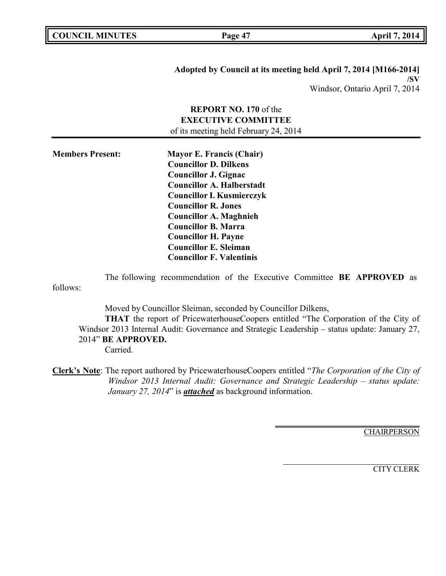**Page 47 April 7, 2014** 

**Adopted by Council at its meeting held April 7, 2014 [M166-2014] /SV** Windsor, Ontario April 7, 2014

# **REPORT NO. 170** of the **EXECUTIVE COMMITTEE** of its meeting held February 24, 2014

**Members Present: Mayor E. Francis (Chair) Councillor D. Dilkens Councillor J. Gignac Councillor A. Halberstadt Councillor I. Kusmierczyk Councillor R. Jones Councillor A. Maghnieh Councillor B. Marra Councillor H. Payne Councillor E. Sleiman Councillor F. Valentinis**

The following recommendation of the Executive Committee **BE APPROVED** as follows:

Moved by Councillor Sleiman, seconded by Councillor Dilkens,

**THAT** the report of PricewaterhouseCoopers entitled "The Corporation of the City of Windsor 2013 Internal Audit: Governance and Strategic Leadership – status update: January 27, 2014" **BE APPROVED.**

Carried.

**Clerk's Note**: The report authored by PricewaterhouseCoopers entitled "*The Corporation of the City of Windsor 2013 Internal Audit: Governance and Strategic Leadership – status update: January 27, 2014*" is *attached* as background information.

**CHAIRPERSON**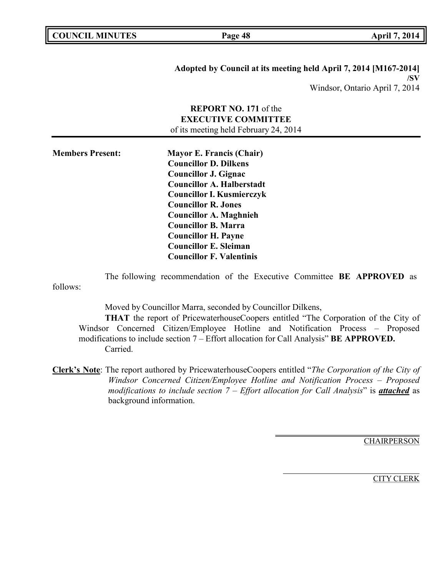**Adopted by Council at its meeting held April 7, 2014 [M167-2014] /SV** Windsor, Ontario April 7, 2014

# **REPORT NO. 171** of the **EXECUTIVE COMMITTEE**

of its meeting held February 24, 2014

**Members Present: Mayor E. Francis (Chair) Councillor D. Dilkens Councillor J. Gignac Councillor A. Halberstadt Councillor I. Kusmierczyk Councillor R. Jones Councillor A. Maghnieh Councillor B. Marra Councillor H. Payne Councillor E. Sleiman Councillor F. Valentinis**

The following recommendation of the Executive Committee **BE APPROVED** as follows:

Moved by Councillor Marra, seconded by Councillor Dilkens,

**THAT** the report of PricewaterhouseCoopers entitled "The Corporation of the City of Windsor Concerned Citizen/Employee Hotline and Notification Process – Proposed modifications to include section 7 – Effort allocation for Call Analysis" **BE APPROVED.** Carried.

**Clerk's Note**: The report authored by PricewaterhouseCoopers entitled "*The Corporation of the City of Windsor Concerned Citizen/Employee Hotline and Notification Process – Proposed modifications to include section 7 – Effort allocation for Call Analysis*" is *attached* as background information.

**CHAIRPERSON**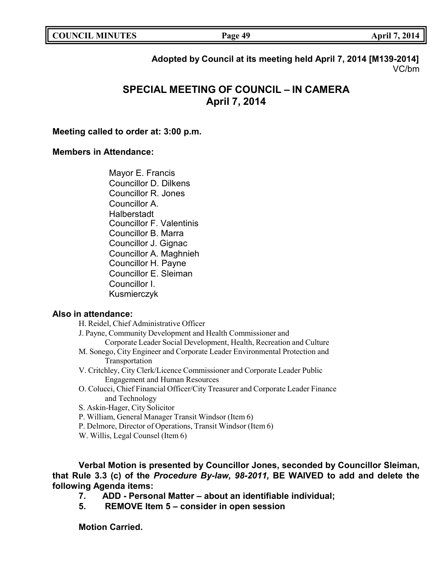| <b>COUNCIL MINUTES</b> |  |
|------------------------|--|
|------------------------|--|

**COUNCIL MINUTES Page 49 April 7, 2014**

**Adopted by Council at its meeting held April 7, 2014 [M139-2014]** VC/bm

# **SPECIAL MEETING OF COUNCIL – IN CAMERA April 7, 2014**

# **Meeting called to order at: 3:00 p.m.**

# **Members in Attendance:**

Mayor E. Francis Councillor D. Dilkens Councillor R. Jones Councillor A. Halberstadt Councillor F. Valentinis Councillor B. Marra Councillor J. Gignac Councillor A. Maghnieh Councillor H. Payne Councillor E. Sleiman Councillor I. Kusmierczyk

## **Also in attendance:**

H. Reidel, Chief Administrative Officer J. Payne, Community Development and Health Commissioner and Corporate Leader Social Development, Health, Recreation and Culture M. Sonego, City Engineer and Corporate Leader Environmental Protection and Transportation V. Critchley, City Clerk/Licence Commissioner and Corporate Leader Public Engagement and Human Resources O. Colucci, Chief Financial Officer/City Treasurer and Corporate Leader Finance and Technology S. Askin-Hager, City Solicitor P. William, General Manager Transit Windsor (Item 6)

- P. Delmore, Director of Operations, Transit Windsor (Item 6)
- W. Willis, Legal Counsel (Item 6)

**Verbal Motion is presented by Councillor Jones, seconded by Councillor Sleiman, that Rule 3.3 (c) of the** *Procedure By-law, 98-2011,* **BE WAIVED to add and delete the following Agenda items:**

- **7. ADD - Personal Matter – about an identifiable individual;**
- **5. REMOVE Item 5 – consider in open session**

**Motion Carried.**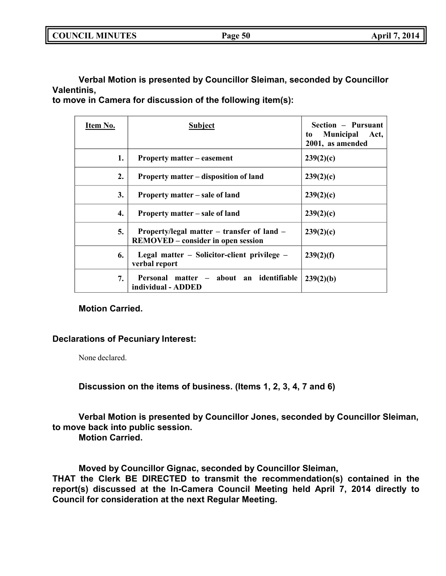|--|

**Verbal Motion is presented by Councillor Sleiman, seconded by Councillor Valentinis,**

**to move in Camera for discussion of the following item(s):**

| Item No. | <b>Subject</b>                                                                          | Section – Pursuant<br><b>Municipal</b><br>Act,<br>to<br>2001, as amended |
|----------|-----------------------------------------------------------------------------------------|--------------------------------------------------------------------------|
| 1.       | <b>Property matter – easement</b>                                                       | 239(2)(c)                                                                |
| 2.       | Property matter – disposition of land                                                   | 239(2)(c)                                                                |
| 3.       | Property matter – sale of land                                                          | 239(2)(c)                                                                |
| 4.       | Property matter – sale of land                                                          | 239(2)(c)                                                                |
| 5.       | Property/legal matter – transfer of land –<br><b>REMOVED</b> – consider in open session | 239(2)(c)                                                                |
| 6.       | Legal matter – Solicitor-client privilege –<br>verbal report                            | 239(2)(f)                                                                |
| 7.       | Personal matter – about an identifiable<br>individual - ADDED                           | 239(2)(b)                                                                |

# **Motion Carried.**

# **Declarations of Pecuniary Interest:**

None declared.

**Discussion on the items of business. (Items 1, 2, 3, 4, 7 and 6)**

**Verbal Motion is presented by Councillor Jones, seconded by Councillor Sleiman, to move back into public session.**

**Motion Carried.**

**Moved by Councillor Gignac, seconded by Councillor Sleiman, THAT the Clerk BE DIRECTED to transmit the recommendation(s) contained in the report(s) discussed at the In-Camera Council Meeting held April 7, 2014 directly to Council for consideration at the next Regular Meeting.**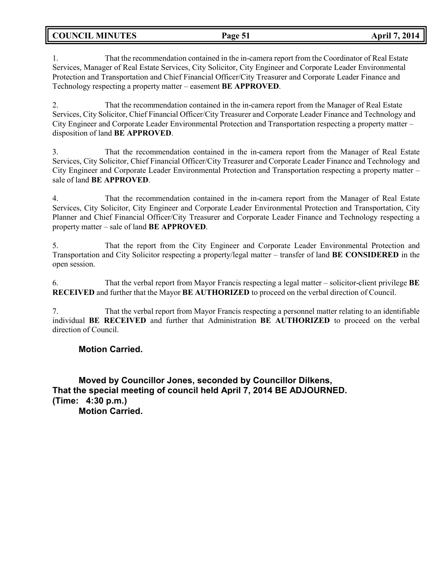**COUNCIL MINUTES Page 51 April 7, 2014**

1. That the recommendation contained in the in-camera report from the Coordinator of Real Estate Services, Manager of Real Estate Services, City Solicitor, City Engineer and Corporate Leader Environmental Protection and Transportation and Chief Financial Officer/City Treasurer and Corporate Leader Finance and Technology respecting a property matter – easement **BE APPROVED**.

2. That the recommendation contained in the in-camera report from the Manager of Real Estate Services, City Solicitor, Chief Financial Officer/City Treasurer and Corporate Leader Finance and Technology and City Engineer and Corporate Leader Environmental Protection and Transportation respecting a property matter – disposition of land **BE APPROVED**.

3. That the recommendation contained in the in-camera report from the Manager of Real Estate Services, City Solicitor, Chief Financial Officer/City Treasurer and Corporate Leader Finance and Technology and City Engineer and Corporate Leader Environmental Protection and Transportation respecting a property matter – sale of land **BE APPROVED**.

4. That the recommendation contained in the in-camera report from the Manager of Real Estate Services, City Solicitor, City Engineer and Corporate Leader Environmental Protection and Transportation, City Planner and Chief Financial Officer/City Treasurer and Corporate Leader Finance and Technology respecting a property matter – sale of land **BE APPROVED**.

5. That the report from the City Engineer and Corporate Leader Environmental Protection and Transportation and City Solicitor respecting a property/legal matter – transfer of land **BE CONSIDERED** in the open session.

6. That the verbal report from Mayor Francis respecting a legal matter – solicitor-client privilege **BE RECEIVED** and further that the Mayor **BE AUTHORIZED** to proceed on the verbal direction of Council.

7. That the verbal report from Mayor Francis respecting a personnel matter relating to an identifiable individual **BE RECEIVED** and further that Administration **BE AUTHORIZED** to proceed on the verbal direction of Council.

# **Motion Carried.**

**Moved by Councillor Jones, seconded by Councillor Dilkens, That the special meeting of council held April 7, 2014 BE ADJOURNED. (Time: 4:30 p.m.) Motion Carried.**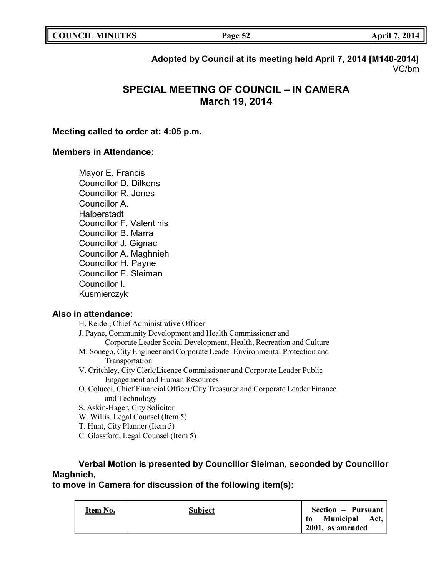# **Adopted by Council at its meeting held April 7, 2014 [M140-2014]** VC/bm

# **SPECIAL MEETING OF COUNCIL – IN CAMERA March 19, 2014**

# **Meeting called to order at: 4:05 p.m.**

# **Members in Attendance:**

Mayor E. Francis Councillor D. Dilkens Councillor R. Jones Councillor A. Halberstadt Councillor F. Valentinis Councillor B. Marra Councillor J. Gignac Councillor A. Maghnieh Councillor H. Payne Councillor E. Sleiman Councillor I. Kusmierczyk

# **Also in attendance:**

| H. Reidel, Chief Administrative Officer                                         |
|---------------------------------------------------------------------------------|
| J. Payne, Community Development and Health Commissioner and                     |
| Corporate Leader Social Development, Health, Recreation and Culture             |
| M. Sonego, City Engineer and Corporate Leader Environmental Protection and      |
| Transportation                                                                  |
| V. Critchley, City Clerk/Licence Commissioner and Corporate Leader Public       |
| <b>Engagement and Human Resources</b>                                           |
| O. Colucci, Chief Financial Officer/City Treasurer and Corporate Leader Finance |
| and Technology                                                                  |
| S. Askin-Hager, City Solicitor                                                  |
| W. Willis, Legal Counsel (Item 5)                                               |
| T. Hunt, City Planner (Item 5)                                                  |

C. Glassford, Legal Counsel (Item 5)

# **Verbal Motion is presented by Councillor Sleiman, seconded by Councillor Maghnieh,**

# **to move in Camera for discussion of the following item(s):**

| Item No. | <b>Subject</b> | Section – Pursuant  |
|----------|----------------|---------------------|
|          |                | to Municipal Act,   |
|          |                | $2001$ , as amended |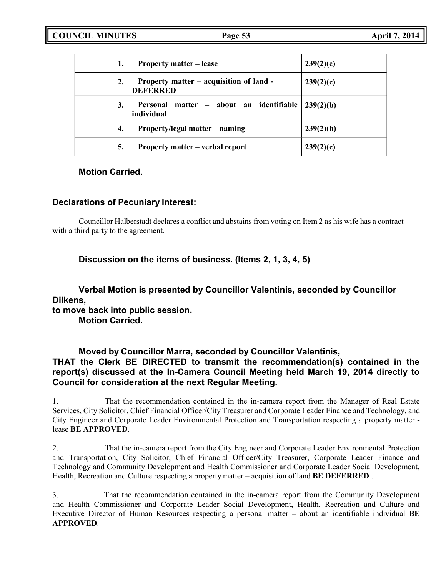| 1. | <b>Property matter – lease</b>                             | 239(2)(c) |
|----|------------------------------------------------------------|-----------|
| 2. | Property matter – acquisition of land -<br><b>DEFERRED</b> | 239(2)(c) |
| 3. | Personal matter – about an identifiable<br>individual      | 239(2)(b) |
| 4. | Property/legal matter – naming                             | 239(2)(b) |
| 5. | Property matter – verbal report                            | 239(2)(c) |

# **Motion Carried.**

# **Declarations of Pecuniary Interest:**

Councillor Halberstadt declares a conflict and abstains from voting on Item 2 as his wife has a contract with a third party to the agreement.

# **Discussion on the items of business. (Items 2, 1, 3, 4, 5)**

**Verbal Motion is presented by Councillor Valentinis, seconded by Councillor Dilkens,**

**to move back into public session.**

**Motion Carried.**

# **Moved by Councillor Marra, seconded by Councillor Valentinis, THAT the Clerk BE DIRECTED to transmit the recommendation(s) contained in the report(s) discussed at the In-Camera Council Meeting held March 19, 2014 directly to Council for consideration at the next Regular Meeting.**

1. That the recommendation contained in the in-camera report from the Manager of Real Estate Services, City Solicitor, Chief Financial Officer/City Treasurer and Corporate Leader Finance and Technology, and City Engineer and Corporate Leader Environmental Protection and Transportation respecting a property matter lease **BE APPROVED**.

2. That the in-camera report from the City Engineer and Corporate Leader Environmental Protection and Transportation, City Solicitor, Chief Financial Officer/City Treasurer, Corporate Leader Finance and Technology and Community Development and Health Commissioner and Corporate Leader Social Development, Health, Recreation and Culture respecting a property matter – acquisition of land **BE DEFERRED** .

3. That the recommendation contained in the in-camera report from the Community Development and Health Commissioner and Corporate Leader Social Development, Health, Recreation and Culture and Executive Director of Human Resources respecting a personal matter – about an identifiable individual **BE APPROVED**.